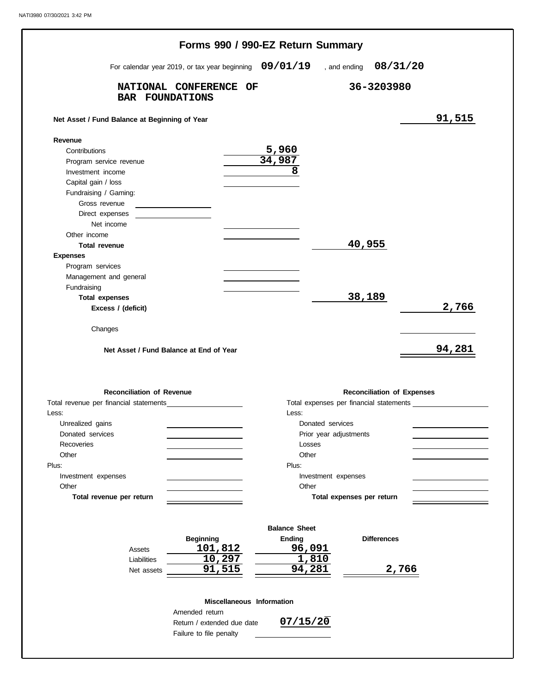|                                                          | For calendar year 2019, or tax year beginning 09/01/19 |                        | , and ending $08/31/20$           |        |
|----------------------------------------------------------|--------------------------------------------------------|------------------------|-----------------------------------|--------|
|                                                          |                                                        |                        |                                   |        |
| <b>BAR FOUNDATIONS</b>                                   | NATIONAL CONFERENCE OF                                 |                        | 36-3203980                        |        |
| Net Asset / Fund Balance at Beginning of Year            |                                                        |                        |                                   | 91,515 |
| Revenue                                                  |                                                        |                        |                                   |        |
| Contributions                                            |                                                        | 5,960                  |                                   |        |
| Program service revenue                                  |                                                        | 34,987                 |                                   |        |
| Investment income                                        |                                                        | 8                      |                                   |        |
| Capital gain / loss                                      |                                                        |                        |                                   |        |
| Fundraising / Gaming:                                    |                                                        |                        |                                   |        |
| Gross revenue                                            | the control of the control of the control of           |                        |                                   |        |
| Direct expenses                                          |                                                        |                        |                                   |        |
| Net income                                               |                                                        |                        |                                   |        |
| Other income                                             |                                                        |                        |                                   |        |
| <b>Total revenue</b>                                     |                                                        |                        | 40,955                            |        |
| <b>Expenses</b>                                          |                                                        |                        |                                   |        |
| Program services<br>Management and general               |                                                        |                        |                                   |        |
| Fundraising                                              |                                                        |                        |                                   |        |
| <b>Total expenses</b>                                    |                                                        |                        | 38,189                            |        |
| Excess / (deficit)                                       |                                                        |                        |                                   | 2,766  |
| Changes                                                  | Net Asset / Fund Balance at End of Year                |                        |                                   | 94,281 |
| <b>Reconciliation of Revenue</b>                         |                                                        |                        |                                   |        |
|                                                          |                                                        |                        | <b>Reconciliation of Expenses</b> |        |
|                                                          |                                                        | Less:                  |                                   |        |
| Unrealized gains                                         |                                                        | Donated services       |                                   |        |
| Donated services                                         |                                                        | Prior year adjustments |                                   |        |
| <b>Recoveries</b>                                        |                                                        | Losses                 |                                   |        |
| Other                                                    |                                                        | Other                  |                                   |        |
|                                                          |                                                        | Plus:                  |                                   |        |
| Investment expenses                                      |                                                        | Investment expenses    |                                   |        |
| Other                                                    |                                                        | Other                  |                                   |        |
| Total revenue per return                                 |                                                        |                        | Total expenses per return         |        |
|                                                          |                                                        | <b>Balance Sheet</b>   |                                   |        |
|                                                          | <b>Beginning</b>                                       | Ending                 | <b>Differences</b>                |        |
| Assets                                                   | 101,812                                                | 96,091                 |                                   |        |
| Liabilities                                              | 10,297                                                 | 1,810                  |                                   |        |
| Net assets                                               | 91,515                                                 | 94,281                 |                                   | 2,766  |
|                                                          | Miscellaneous Information                              |                        |                                   |        |
| Total revenue per financial statements<br>Less:<br>Plus: | Amended return                                         | 07/15/20               |                                   |        |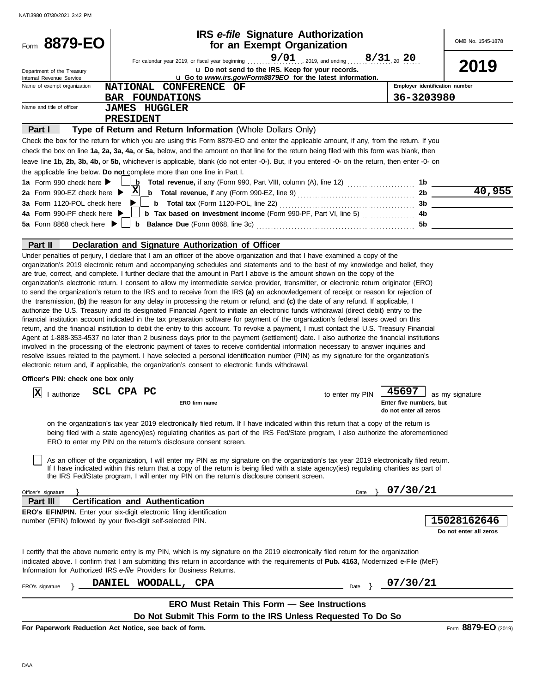| $9/01$ 2019, and ending 8/31 20 20<br>For calendar year 2019, or fiscal year beginning [1, 1, 1, 1, 1]<br>2019<br>u Do not send to the IRS. Keep for your records.<br>Department of the Treasury<br>u Go to www.irs.gov/Form8879EO for the latest information.<br>Internal Revenue Service<br>NATIONAL CONFERENCE OF<br>Employer identification number<br>Name of exempt organization<br>36-3203980<br><b>BAR FOUNDATIONS</b><br>Name and title of officer<br><b>JAMES HUGGLER</b><br>PRESIDENT<br>Type of Return and Return Information (Whole Dollars Only)<br>Part I<br>Check the box for the return for which you are using this Form 8879-EO and enter the applicable amount, if any, from the return. If you<br>check the box on line 1a, 2a, 3a, 4a, or 5a, below, and the amount on that line for the return being filed with this form was blank, then<br>leave line 1b, 2b, 3b, 4b, or 5b, whichever is applicable, blank (do not enter -0-). But, if you entered -0- on the return, then enter -0- on<br>the applicable line below. Do not complete more than one line in Part I.<br>1a Form 990 check here $\blacktriangleright$<br>b<br>Total revenue, if any (Form 990, Part VIII, column (A), line 12) <i>[[[[[[[[[[[[[[[[[[[[[[[[]]]]]</i><br>1b.<br>$\overline{40,955}$<br>$\vert \mathbf{x} \vert$<br>2b<br>2a Form 990-EZ check here $\blacktriangleright$<br>3a Form 1120-POL check here<br>3b<br>4a Form 990-PF check here ▶<br><b>b</b> Balance Due (Form 8868, line 3c) <b>CONSERVING</b> 50 <b>5b</b><br>5a Form 8868 check here $\blacktriangleright$<br>Part II<br>Declaration and Signature Authorization of Officer<br>Under penalties of perjury, I declare that I am an officer of the above organization and that I have examined a copy of the<br>organization's 2019 electronic return and accompanying schedules and statements and to the best of my knowledge and belief, they<br>are true, correct, and complete. I further declare that the amount in Part I above is the amount shown on the copy of the<br>organization's electronic return. I consent to allow my intermediate service provider, transmitter, or electronic return originator (ERO)<br>to send the organization's return to the IRS and to receive from the IRS (a) an acknowledgement of receipt or reason for rejection of<br>the transmission, (b) the reason for any delay in processing the return or refund, and (c) the date of any refund. If applicable, I<br>authorize the U.S. Treasury and its designated Financial Agent to initiate an electronic funds withdrawal (direct debit) entry to the<br>financial institution account indicated in the tax preparation software for payment of the organization's federal taxes owed on this<br>return, and the financial institution to debit the entry to this account. To revoke a payment, I must contact the U.S. Treasury Financial<br>Agent at 1-888-353-4537 no later than 2 business days prior to the payment (settlement) date. I also authorize the financial institutions<br>involved in the processing of the electronic payment of taxes to receive confidential information necessary to answer inquiries and<br>resolve issues related to the payment. I have selected a personal identification number (PIN) as my signature for the organization's<br>electronic return and, if applicable, the organization's consent to electronic funds withdrawal.<br>Officer's PIN: check one box only<br>I authorize __ SCL CPA PC<br>45697<br>X<br>to enter my PIN<br>as my signature<br>ERO firm name<br>Enter five numbers, but<br>do not enter all zeros<br>on the organization's tax year 2019 electronically filed return. If I have indicated within this return that a copy of the return is<br>being filed with a state agency(ies) regulating charities as part of the IRS Fed/State program, I also authorize the aforementioned<br>ERO to enter my PIN on the return's disclosure consent screen.<br>As an officer of the organization, I will enter my PIN as my signature on the organization's tax year 2019 electronically filed return.<br>If I have indicated within this return that a copy of the return is being filed with a state agency(ies) regulating charities as part of<br>the IRS Fed/State program, I will enter my PIN on the return's disclosure consent screen.<br>07/30/21<br>Officer's signature<br>Date<br><b>Certification and Authentication</b><br>Part III<br><b>ERO's EFIN/PIN.</b> Enter your six-digit electronic filing identification<br>15028162646<br>number (EFIN) followed by your five-digit self-selected PIN.<br>Do not enter all zeros<br>I certify that the above numeric entry is my PIN, which is my signature on the 2019 electronically filed return for the organization<br>indicated above. I confirm that I am submitting this return in accordance with the requirements of Pub. 4163, Modernized e-File (MeF)<br>Information for Authorized IRS e-file Providers for Business Returns.<br>07/30/21<br>WOODALL, CPA<br><b>DANIEL</b><br>Date $\}$<br>ERO's signature<br><b>ERO Must Retain This Form - See Instructions</b><br>Do Not Submit This Form to the IRS Unless Requested To Do So | Form 8879-EO | <b>IRS</b> e-file Signature Authorization<br>for an Exempt Organization |  | OMB No. 1545-1878 |
|--------------------------------------------------------------------------------------------------------------------------------------------------------------------------------------------------------------------------------------------------------------------------------------------------------------------------------------------------------------------------------------------------------------------------------------------------------------------------------------------------------------------------------------------------------------------------------------------------------------------------------------------------------------------------------------------------------------------------------------------------------------------------------------------------------------------------------------------------------------------------------------------------------------------------------------------------------------------------------------------------------------------------------------------------------------------------------------------------------------------------------------------------------------------------------------------------------------------------------------------------------------------------------------------------------------------------------------------------------------------------------------------------------------------------------------------------------------------------------------------------------------------------------------------------------------------------------------------------------------------------------------------------------------------------------------------------------------------------------------------------------------------------------------------------------------------------------------------------------------------------------------------------------------------------------------------------------------------------------------------------------------------------------------------------------------------------------------------------------------------------------------------------------------------------------------------------------------------------------------------------------------------------------------------------------------------------------------------------------------------------------------------------------------------------------------------------------------------------------------------------------------------------------------------------------------------------------------------------------------------------------------------------------------------------------------------------------------------------------------------------------------------------------------------------------------------------------------------------------------------------------------------------------------------------------------------------------------------------------------------------------------------------------------------------------------------------------------------------------------------------------------------------------------------------------------------------------------------------------------------------------------------------------------------------------------------------------------------------------------------------------------------------------------------------------------------------------------------------------------------------------------------------------------------------------------------------------------------------------------------------------------------------------------------------------------------------------------------------------------------------------------------------------------------------------------------------------------------------------------------------------------------------------------------------------------------------------------------------------------------------------------------------------------------------------------------------------------------------------------------------------------------------------------------------------------------------------------------------------------------------------------------------------------------------------------------------------------------------------------------------------------------------------------------------------------------------------------------------------------------------------------------------------------------------------------------------------------------------------------------------------------------------------------------------------------------------------------------------------------------------------------------------------------------------------------------------------------------------------------------------------------------------------------------------------------------------------------------------------------------------------------------------------------------------------------------------------------------------------------------------------------------------------------------------------------------------------------------------------------|--------------|-------------------------------------------------------------------------|--|-------------------|
|                                                                                                                                                                                                                                                                                                                                                                                                                                                                                                                                                                                                                                                                                                                                                                                                                                                                                                                                                                                                                                                                                                                                                                                                                                                                                                                                                                                                                                                                                                                                                                                                                                                                                                                                                                                                                                                                                                                                                                                                                                                                                                                                                                                                                                                                                                                                                                                                                                                                                                                                                                                                                                                                                                                                                                                                                                                                                                                                                                                                                                                                                                                                                                                                                                                                                                                                                                                                                                                                                                                                                                                                                                                                                                                                                                                                                                                                                                                                                                                                                                                                                                                                                                                                                                                                                                                                                                                                                                                                                                                                                                                                                                                                                                                                                                                                                                                                                                                                                                                                                                                                                                                                                                                                                                      |              |                                                                         |  |                   |
|                                                                                                                                                                                                                                                                                                                                                                                                                                                                                                                                                                                                                                                                                                                                                                                                                                                                                                                                                                                                                                                                                                                                                                                                                                                                                                                                                                                                                                                                                                                                                                                                                                                                                                                                                                                                                                                                                                                                                                                                                                                                                                                                                                                                                                                                                                                                                                                                                                                                                                                                                                                                                                                                                                                                                                                                                                                                                                                                                                                                                                                                                                                                                                                                                                                                                                                                                                                                                                                                                                                                                                                                                                                                                                                                                                                                                                                                                                                                                                                                                                                                                                                                                                                                                                                                                                                                                                                                                                                                                                                                                                                                                                                                                                                                                                                                                                                                                                                                                                                                                                                                                                                                                                                                                                      |              |                                                                         |  |                   |
|                                                                                                                                                                                                                                                                                                                                                                                                                                                                                                                                                                                                                                                                                                                                                                                                                                                                                                                                                                                                                                                                                                                                                                                                                                                                                                                                                                                                                                                                                                                                                                                                                                                                                                                                                                                                                                                                                                                                                                                                                                                                                                                                                                                                                                                                                                                                                                                                                                                                                                                                                                                                                                                                                                                                                                                                                                                                                                                                                                                                                                                                                                                                                                                                                                                                                                                                                                                                                                                                                                                                                                                                                                                                                                                                                                                                                                                                                                                                                                                                                                                                                                                                                                                                                                                                                                                                                                                                                                                                                                                                                                                                                                                                                                                                                                                                                                                                                                                                                                                                                                                                                                                                                                                                                                      |              |                                                                         |  |                   |
|                                                                                                                                                                                                                                                                                                                                                                                                                                                                                                                                                                                                                                                                                                                                                                                                                                                                                                                                                                                                                                                                                                                                                                                                                                                                                                                                                                                                                                                                                                                                                                                                                                                                                                                                                                                                                                                                                                                                                                                                                                                                                                                                                                                                                                                                                                                                                                                                                                                                                                                                                                                                                                                                                                                                                                                                                                                                                                                                                                                                                                                                                                                                                                                                                                                                                                                                                                                                                                                                                                                                                                                                                                                                                                                                                                                                                                                                                                                                                                                                                                                                                                                                                                                                                                                                                                                                                                                                                                                                                                                                                                                                                                                                                                                                                                                                                                                                                                                                                                                                                                                                                                                                                                                                                                      |              |                                                                         |  |                   |
|                                                                                                                                                                                                                                                                                                                                                                                                                                                                                                                                                                                                                                                                                                                                                                                                                                                                                                                                                                                                                                                                                                                                                                                                                                                                                                                                                                                                                                                                                                                                                                                                                                                                                                                                                                                                                                                                                                                                                                                                                                                                                                                                                                                                                                                                                                                                                                                                                                                                                                                                                                                                                                                                                                                                                                                                                                                                                                                                                                                                                                                                                                                                                                                                                                                                                                                                                                                                                                                                                                                                                                                                                                                                                                                                                                                                                                                                                                                                                                                                                                                                                                                                                                                                                                                                                                                                                                                                                                                                                                                                                                                                                                                                                                                                                                                                                                                                                                                                                                                                                                                                                                                                                                                                                                      |              |                                                                         |  |                   |
|                                                                                                                                                                                                                                                                                                                                                                                                                                                                                                                                                                                                                                                                                                                                                                                                                                                                                                                                                                                                                                                                                                                                                                                                                                                                                                                                                                                                                                                                                                                                                                                                                                                                                                                                                                                                                                                                                                                                                                                                                                                                                                                                                                                                                                                                                                                                                                                                                                                                                                                                                                                                                                                                                                                                                                                                                                                                                                                                                                                                                                                                                                                                                                                                                                                                                                                                                                                                                                                                                                                                                                                                                                                                                                                                                                                                                                                                                                                                                                                                                                                                                                                                                                                                                                                                                                                                                                                                                                                                                                                                                                                                                                                                                                                                                                                                                                                                                                                                                                                                                                                                                                                                                                                                                                      |              |                                                                         |  |                   |
|                                                                                                                                                                                                                                                                                                                                                                                                                                                                                                                                                                                                                                                                                                                                                                                                                                                                                                                                                                                                                                                                                                                                                                                                                                                                                                                                                                                                                                                                                                                                                                                                                                                                                                                                                                                                                                                                                                                                                                                                                                                                                                                                                                                                                                                                                                                                                                                                                                                                                                                                                                                                                                                                                                                                                                                                                                                                                                                                                                                                                                                                                                                                                                                                                                                                                                                                                                                                                                                                                                                                                                                                                                                                                                                                                                                                                                                                                                                                                                                                                                                                                                                                                                                                                                                                                                                                                                                                                                                                                                                                                                                                                                                                                                                                                                                                                                                                                                                                                                                                                                                                                                                                                                                                                                      |              |                                                                         |  |                   |
|                                                                                                                                                                                                                                                                                                                                                                                                                                                                                                                                                                                                                                                                                                                                                                                                                                                                                                                                                                                                                                                                                                                                                                                                                                                                                                                                                                                                                                                                                                                                                                                                                                                                                                                                                                                                                                                                                                                                                                                                                                                                                                                                                                                                                                                                                                                                                                                                                                                                                                                                                                                                                                                                                                                                                                                                                                                                                                                                                                                                                                                                                                                                                                                                                                                                                                                                                                                                                                                                                                                                                                                                                                                                                                                                                                                                                                                                                                                                                                                                                                                                                                                                                                                                                                                                                                                                                                                                                                                                                                                                                                                                                                                                                                                                                                                                                                                                                                                                                                                                                                                                                                                                                                                                                                      |              |                                                                         |  |                   |
|                                                                                                                                                                                                                                                                                                                                                                                                                                                                                                                                                                                                                                                                                                                                                                                                                                                                                                                                                                                                                                                                                                                                                                                                                                                                                                                                                                                                                                                                                                                                                                                                                                                                                                                                                                                                                                                                                                                                                                                                                                                                                                                                                                                                                                                                                                                                                                                                                                                                                                                                                                                                                                                                                                                                                                                                                                                                                                                                                                                                                                                                                                                                                                                                                                                                                                                                                                                                                                                                                                                                                                                                                                                                                                                                                                                                                                                                                                                                                                                                                                                                                                                                                                                                                                                                                                                                                                                                                                                                                                                                                                                                                                                                                                                                                                                                                                                                                                                                                                                                                                                                                                                                                                                                                                      |              |                                                                         |  |                   |
|                                                                                                                                                                                                                                                                                                                                                                                                                                                                                                                                                                                                                                                                                                                                                                                                                                                                                                                                                                                                                                                                                                                                                                                                                                                                                                                                                                                                                                                                                                                                                                                                                                                                                                                                                                                                                                                                                                                                                                                                                                                                                                                                                                                                                                                                                                                                                                                                                                                                                                                                                                                                                                                                                                                                                                                                                                                                                                                                                                                                                                                                                                                                                                                                                                                                                                                                                                                                                                                                                                                                                                                                                                                                                                                                                                                                                                                                                                                                                                                                                                                                                                                                                                                                                                                                                                                                                                                                                                                                                                                                                                                                                                                                                                                                                                                                                                                                                                                                                                                                                                                                                                                                                                                                                                      |              |                                                                         |  |                   |
|                                                                                                                                                                                                                                                                                                                                                                                                                                                                                                                                                                                                                                                                                                                                                                                                                                                                                                                                                                                                                                                                                                                                                                                                                                                                                                                                                                                                                                                                                                                                                                                                                                                                                                                                                                                                                                                                                                                                                                                                                                                                                                                                                                                                                                                                                                                                                                                                                                                                                                                                                                                                                                                                                                                                                                                                                                                                                                                                                                                                                                                                                                                                                                                                                                                                                                                                                                                                                                                                                                                                                                                                                                                                                                                                                                                                                                                                                                                                                                                                                                                                                                                                                                                                                                                                                                                                                                                                                                                                                                                                                                                                                                                                                                                                                                                                                                                                                                                                                                                                                                                                                                                                                                                                                                      |              |                                                                         |  |                   |
|                                                                                                                                                                                                                                                                                                                                                                                                                                                                                                                                                                                                                                                                                                                                                                                                                                                                                                                                                                                                                                                                                                                                                                                                                                                                                                                                                                                                                                                                                                                                                                                                                                                                                                                                                                                                                                                                                                                                                                                                                                                                                                                                                                                                                                                                                                                                                                                                                                                                                                                                                                                                                                                                                                                                                                                                                                                                                                                                                                                                                                                                                                                                                                                                                                                                                                                                                                                                                                                                                                                                                                                                                                                                                                                                                                                                                                                                                                                                                                                                                                                                                                                                                                                                                                                                                                                                                                                                                                                                                                                                                                                                                                                                                                                                                                                                                                                                                                                                                                                                                                                                                                                                                                                                                                      |              |                                                                         |  |                   |
|                                                                                                                                                                                                                                                                                                                                                                                                                                                                                                                                                                                                                                                                                                                                                                                                                                                                                                                                                                                                                                                                                                                                                                                                                                                                                                                                                                                                                                                                                                                                                                                                                                                                                                                                                                                                                                                                                                                                                                                                                                                                                                                                                                                                                                                                                                                                                                                                                                                                                                                                                                                                                                                                                                                                                                                                                                                                                                                                                                                                                                                                                                                                                                                                                                                                                                                                                                                                                                                                                                                                                                                                                                                                                                                                                                                                                                                                                                                                                                                                                                                                                                                                                                                                                                                                                                                                                                                                                                                                                                                                                                                                                                                                                                                                                                                                                                                                                                                                                                                                                                                                                                                                                                                                                                      |              |                                                                         |  |                   |
|                                                                                                                                                                                                                                                                                                                                                                                                                                                                                                                                                                                                                                                                                                                                                                                                                                                                                                                                                                                                                                                                                                                                                                                                                                                                                                                                                                                                                                                                                                                                                                                                                                                                                                                                                                                                                                                                                                                                                                                                                                                                                                                                                                                                                                                                                                                                                                                                                                                                                                                                                                                                                                                                                                                                                                                                                                                                                                                                                                                                                                                                                                                                                                                                                                                                                                                                                                                                                                                                                                                                                                                                                                                                                                                                                                                                                                                                                                                                                                                                                                                                                                                                                                                                                                                                                                                                                                                                                                                                                                                                                                                                                                                                                                                                                                                                                                                                                                                                                                                                                                                                                                                                                                                                                                      |              |                                                                         |  |                   |
|                                                                                                                                                                                                                                                                                                                                                                                                                                                                                                                                                                                                                                                                                                                                                                                                                                                                                                                                                                                                                                                                                                                                                                                                                                                                                                                                                                                                                                                                                                                                                                                                                                                                                                                                                                                                                                                                                                                                                                                                                                                                                                                                                                                                                                                                                                                                                                                                                                                                                                                                                                                                                                                                                                                                                                                                                                                                                                                                                                                                                                                                                                                                                                                                                                                                                                                                                                                                                                                                                                                                                                                                                                                                                                                                                                                                                                                                                                                                                                                                                                                                                                                                                                                                                                                                                                                                                                                                                                                                                                                                                                                                                                                                                                                                                                                                                                                                                                                                                                                                                                                                                                                                                                                                                                      |              |                                                                         |  |                   |
|                                                                                                                                                                                                                                                                                                                                                                                                                                                                                                                                                                                                                                                                                                                                                                                                                                                                                                                                                                                                                                                                                                                                                                                                                                                                                                                                                                                                                                                                                                                                                                                                                                                                                                                                                                                                                                                                                                                                                                                                                                                                                                                                                                                                                                                                                                                                                                                                                                                                                                                                                                                                                                                                                                                                                                                                                                                                                                                                                                                                                                                                                                                                                                                                                                                                                                                                                                                                                                                                                                                                                                                                                                                                                                                                                                                                                                                                                                                                                                                                                                                                                                                                                                                                                                                                                                                                                                                                                                                                                                                                                                                                                                                                                                                                                                                                                                                                                                                                                                                                                                                                                                                                                                                                                                      |              |                                                                         |  |                   |
|                                                                                                                                                                                                                                                                                                                                                                                                                                                                                                                                                                                                                                                                                                                                                                                                                                                                                                                                                                                                                                                                                                                                                                                                                                                                                                                                                                                                                                                                                                                                                                                                                                                                                                                                                                                                                                                                                                                                                                                                                                                                                                                                                                                                                                                                                                                                                                                                                                                                                                                                                                                                                                                                                                                                                                                                                                                                                                                                                                                                                                                                                                                                                                                                                                                                                                                                                                                                                                                                                                                                                                                                                                                                                                                                                                                                                                                                                                                                                                                                                                                                                                                                                                                                                                                                                                                                                                                                                                                                                                                                                                                                                                                                                                                                                                                                                                                                                                                                                                                                                                                                                                                                                                                                                                      |              |                                                                         |  |                   |
|                                                                                                                                                                                                                                                                                                                                                                                                                                                                                                                                                                                                                                                                                                                                                                                                                                                                                                                                                                                                                                                                                                                                                                                                                                                                                                                                                                                                                                                                                                                                                                                                                                                                                                                                                                                                                                                                                                                                                                                                                                                                                                                                                                                                                                                                                                                                                                                                                                                                                                                                                                                                                                                                                                                                                                                                                                                                                                                                                                                                                                                                                                                                                                                                                                                                                                                                                                                                                                                                                                                                                                                                                                                                                                                                                                                                                                                                                                                                                                                                                                                                                                                                                                                                                                                                                                                                                                                                                                                                                                                                                                                                                                                                                                                                                                                                                                                                                                                                                                                                                                                                                                                                                                                                                                      |              |                                                                         |  |                   |
|                                                                                                                                                                                                                                                                                                                                                                                                                                                                                                                                                                                                                                                                                                                                                                                                                                                                                                                                                                                                                                                                                                                                                                                                                                                                                                                                                                                                                                                                                                                                                                                                                                                                                                                                                                                                                                                                                                                                                                                                                                                                                                                                                                                                                                                                                                                                                                                                                                                                                                                                                                                                                                                                                                                                                                                                                                                                                                                                                                                                                                                                                                                                                                                                                                                                                                                                                                                                                                                                                                                                                                                                                                                                                                                                                                                                                                                                                                                                                                                                                                                                                                                                                                                                                                                                                                                                                                                                                                                                                                                                                                                                                                                                                                                                                                                                                                                                                                                                                                                                                                                                                                                                                                                                                                      |              |                                                                         |  |                   |
|                                                                                                                                                                                                                                                                                                                                                                                                                                                                                                                                                                                                                                                                                                                                                                                                                                                                                                                                                                                                                                                                                                                                                                                                                                                                                                                                                                                                                                                                                                                                                                                                                                                                                                                                                                                                                                                                                                                                                                                                                                                                                                                                                                                                                                                                                                                                                                                                                                                                                                                                                                                                                                                                                                                                                                                                                                                                                                                                                                                                                                                                                                                                                                                                                                                                                                                                                                                                                                                                                                                                                                                                                                                                                                                                                                                                                                                                                                                                                                                                                                                                                                                                                                                                                                                                                                                                                                                                                                                                                                                                                                                                                                                                                                                                                                                                                                                                                                                                                                                                                                                                                                                                                                                                                                      |              |                                                                         |  |                   |
|                                                                                                                                                                                                                                                                                                                                                                                                                                                                                                                                                                                                                                                                                                                                                                                                                                                                                                                                                                                                                                                                                                                                                                                                                                                                                                                                                                                                                                                                                                                                                                                                                                                                                                                                                                                                                                                                                                                                                                                                                                                                                                                                                                                                                                                                                                                                                                                                                                                                                                                                                                                                                                                                                                                                                                                                                                                                                                                                                                                                                                                                                                                                                                                                                                                                                                                                                                                                                                                                                                                                                                                                                                                                                                                                                                                                                                                                                                                                                                                                                                                                                                                                                                                                                                                                                                                                                                                                                                                                                                                                                                                                                                                                                                                                                                                                                                                                                                                                                                                                                                                                                                                                                                                                                                      |              |                                                                         |  |                   |
|                                                                                                                                                                                                                                                                                                                                                                                                                                                                                                                                                                                                                                                                                                                                                                                                                                                                                                                                                                                                                                                                                                                                                                                                                                                                                                                                                                                                                                                                                                                                                                                                                                                                                                                                                                                                                                                                                                                                                                                                                                                                                                                                                                                                                                                                                                                                                                                                                                                                                                                                                                                                                                                                                                                                                                                                                                                                                                                                                                                                                                                                                                                                                                                                                                                                                                                                                                                                                                                                                                                                                                                                                                                                                                                                                                                                                                                                                                                                                                                                                                                                                                                                                                                                                                                                                                                                                                                                                                                                                                                                                                                                                                                                                                                                                                                                                                                                                                                                                                                                                                                                                                                                                                                                                                      |              |                                                                         |  |                   |
|                                                                                                                                                                                                                                                                                                                                                                                                                                                                                                                                                                                                                                                                                                                                                                                                                                                                                                                                                                                                                                                                                                                                                                                                                                                                                                                                                                                                                                                                                                                                                                                                                                                                                                                                                                                                                                                                                                                                                                                                                                                                                                                                                                                                                                                                                                                                                                                                                                                                                                                                                                                                                                                                                                                                                                                                                                                                                                                                                                                                                                                                                                                                                                                                                                                                                                                                                                                                                                                                                                                                                                                                                                                                                                                                                                                                                                                                                                                                                                                                                                                                                                                                                                                                                                                                                                                                                                                                                                                                                                                                                                                                                                                                                                                                                                                                                                                                                                                                                                                                                                                                                                                                                                                                                                      |              |                                                                         |  |                   |
|                                                                                                                                                                                                                                                                                                                                                                                                                                                                                                                                                                                                                                                                                                                                                                                                                                                                                                                                                                                                                                                                                                                                                                                                                                                                                                                                                                                                                                                                                                                                                                                                                                                                                                                                                                                                                                                                                                                                                                                                                                                                                                                                                                                                                                                                                                                                                                                                                                                                                                                                                                                                                                                                                                                                                                                                                                                                                                                                                                                                                                                                                                                                                                                                                                                                                                                                                                                                                                                                                                                                                                                                                                                                                                                                                                                                                                                                                                                                                                                                                                                                                                                                                                                                                                                                                                                                                                                                                                                                                                                                                                                                                                                                                                                                                                                                                                                                                                                                                                                                                                                                                                                                                                                                                                      |              |                                                                         |  |                   |
|                                                                                                                                                                                                                                                                                                                                                                                                                                                                                                                                                                                                                                                                                                                                                                                                                                                                                                                                                                                                                                                                                                                                                                                                                                                                                                                                                                                                                                                                                                                                                                                                                                                                                                                                                                                                                                                                                                                                                                                                                                                                                                                                                                                                                                                                                                                                                                                                                                                                                                                                                                                                                                                                                                                                                                                                                                                                                                                                                                                                                                                                                                                                                                                                                                                                                                                                                                                                                                                                                                                                                                                                                                                                                                                                                                                                                                                                                                                                                                                                                                                                                                                                                                                                                                                                                                                                                                                                                                                                                                                                                                                                                                                                                                                                                                                                                                                                                                                                                                                                                                                                                                                                                                                                                                      |              |                                                                         |  |                   |
|                                                                                                                                                                                                                                                                                                                                                                                                                                                                                                                                                                                                                                                                                                                                                                                                                                                                                                                                                                                                                                                                                                                                                                                                                                                                                                                                                                                                                                                                                                                                                                                                                                                                                                                                                                                                                                                                                                                                                                                                                                                                                                                                                                                                                                                                                                                                                                                                                                                                                                                                                                                                                                                                                                                                                                                                                                                                                                                                                                                                                                                                                                                                                                                                                                                                                                                                                                                                                                                                                                                                                                                                                                                                                                                                                                                                                                                                                                                                                                                                                                                                                                                                                                                                                                                                                                                                                                                                                                                                                                                                                                                                                                                                                                                                                                                                                                                                                                                                                                                                                                                                                                                                                                                                                                      |              |                                                                         |  |                   |
|                                                                                                                                                                                                                                                                                                                                                                                                                                                                                                                                                                                                                                                                                                                                                                                                                                                                                                                                                                                                                                                                                                                                                                                                                                                                                                                                                                                                                                                                                                                                                                                                                                                                                                                                                                                                                                                                                                                                                                                                                                                                                                                                                                                                                                                                                                                                                                                                                                                                                                                                                                                                                                                                                                                                                                                                                                                                                                                                                                                                                                                                                                                                                                                                                                                                                                                                                                                                                                                                                                                                                                                                                                                                                                                                                                                                                                                                                                                                                                                                                                                                                                                                                                                                                                                                                                                                                                                                                                                                                                                                                                                                                                                                                                                                                                                                                                                                                                                                                                                                                                                                                                                                                                                                                                      |              |                                                                         |  |                   |

**For Paperwork Reduction Act Notice, see back of form.**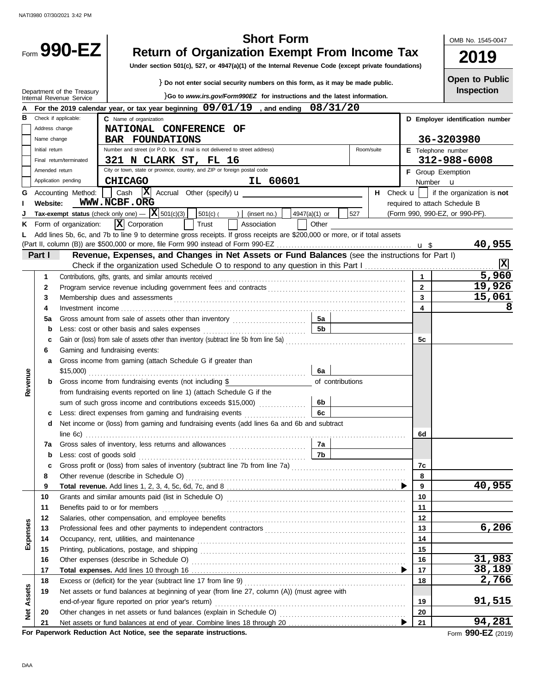|                   |                |                            | <b>Short Form</b>                                                                                                                                                                                                             |                     | OMB No. 1545-0047                |
|-------------------|----------------|----------------------------|-------------------------------------------------------------------------------------------------------------------------------------------------------------------------------------------------------------------------------|---------------------|----------------------------------|
|                   |                | Form 990-EZ                | <b>Return of Organization Exempt From Income Tax</b><br>Under section 501(c), 527, or 4947(a)(1) of the Internal Revenue Code (except private foundations)                                                                    |                     | 2019                             |
|                   |                |                            |                                                                                                                                                                                                                               |                     | <b>Open to Public</b>            |
|                   |                | Department of the Treasury | } Do not enter social security numbers on this form, as it may be made public.                                                                                                                                                |                     | Inspection                       |
|                   |                | Internal Revenue Service   | }Go to www.irs.gov/Form990EZ for instructions and the latest information.                                                                                                                                                     |                     |                                  |
| в                 |                | Check if applicable:       | For the 2019 calendar year, or tax year beginning $09/01/19$ , and ending $08/31/20$                                                                                                                                          |                     |                                  |
|                   | Address change |                            | C Name of organization                                                                                                                                                                                                        |                     | D Employer identification number |
|                   | Name change    |                            | <b>NATIONAL CONFERENCE</b><br>OF<br><b>BAR FOUNDATIONS</b>                                                                                                                                                                    |                     | 36-3203980                       |
|                   | Initial return |                            | Number and street (or P.O. box, if mail is not delivered to street address)<br>Room/suite                                                                                                                                     |                     | E Telephone number               |
|                   |                | Final return/terminated    | 321 N CLARK ST, FL 16                                                                                                                                                                                                         |                     | 312-988-6008                     |
|                   | Amended return |                            | City or town, state or province, country, and ZIP or foreign postal code                                                                                                                                                      |                     | F Group Exemption                |
|                   |                | Application pending        | <b>CHICAGO</b><br>IL 60601                                                                                                                                                                                                    |                     | Number <b>u</b>                  |
| G                 |                | Accounting Method:         | Cash<br>н.                                                                                                                                                                                                                    | Check $\mathbf{u}$  | if the organization is not       |
|                   | Website:       |                            | WWW.NCBF.ORG                                                                                                                                                                                                                  |                     | required to attach Schedule B    |
| J                 |                |                            | Tax-exempt status (check only one) $ \left \mathbf{X}\right $ 501(c)(3)   $\left $ 501(c)( )   (insert no.)<br>527<br>4947(a)(1) or                                                                                           |                     | (Form 990, 990-EZ, or 990-PF).   |
| ĸ.                |                | Form of organization:      | $\overline{\mathbf{X}}$ Corporation<br>Trust<br>Association<br>Other                                                                                                                                                          |                     |                                  |
| L.                |                |                            | Add lines 5b, 6c, and 7b to line 9 to determine gross receipts. If gross receipts are \$200,000 or more, or if total assets                                                                                                   |                     |                                  |
|                   |                |                            |                                                                                                                                                                                                                               |                     | 40,955                           |
|                   | Part I         |                            | Revenue, Expenses, and Changes in Net Assets or Fund Balances (see the instructions for Part I)                                                                                                                               |                     | $\overline{\mathbf{x}}$          |
|                   |                |                            |                                                                                                                                                                                                                               |                     | 5,960                            |
|                   | 1              |                            | Contributions, gifts, grants, and similar amounts received                                                                                                                                                                    | 1<br>$\overline{2}$ | 19,926                           |
|                   | 2<br>3         |                            |                                                                                                                                                                                                                               | 3                   | 15,061                           |
|                   | 4              |                            |                                                                                                                                                                                                                               | 4                   | 8                                |
|                   | 5a             |                            | 5a<br>Gross amount from sale of assets other than inventory                                                                                                                                                                   |                     |                                  |
|                   | b              |                            | 5b                                                                                                                                                                                                                            |                     |                                  |
|                   | с              |                            | Gain or (loss) from sale of assets other than inventory (subtract line 5b from line 5a) [[[[[[[[[[[[[[[[[[[[[                                                                                                                 | 5с                  |                                  |
|                   | 6              |                            | Gaming and fundraising events:                                                                                                                                                                                                |                     |                                  |
|                   | a              |                            | Gross income from gaming (attach Schedule G if greater than                                                                                                                                                                   |                     |                                  |
|                   |                | $$15,000$ )                | 6а                                                                                                                                                                                                                            |                     |                                  |
| Revenue           |                |                            | Gross income from fundraising events (not including \$<br>of contributions                                                                                                                                                    |                     |                                  |
|                   |                |                            | from fundraising events reported on line 1) (attach Schedule G if the                                                                                                                                                         |                     |                                  |
|                   |                |                            | sum of such gross income and contributions exceeds \$15,000)<br>6b                                                                                                                                                            |                     |                                  |
|                   |                |                            | $\sqrt{6c}$<br>c Less: direct expenses from gaming and fundraising events                                                                                                                                                     |                     |                                  |
|                   | d              |                            | Net income or (loss) from gaming and fundraising events (add lines 6a and 6b and subtract                                                                                                                                     |                     |                                  |
|                   |                |                            | 7а                                                                                                                                                                                                                            | 6d                  |                                  |
|                   | 7a<br>b        |                            | 7b                                                                                                                                                                                                                            |                     |                                  |
|                   | c              |                            |                                                                                                                                                                                                                               | 7с                  |                                  |
|                   | 8              |                            |                                                                                                                                                                                                                               | 8                   |                                  |
|                   | 9              |                            |                                                                                                                                                                                                                               | 9                   | 40,955                           |
|                   | 10             |                            |                                                                                                                                                                                                                               | 10                  |                                  |
|                   | 11             |                            | Benefits paid to or for members                                                                                                                                                                                               | 11                  |                                  |
|                   | 12             |                            | Salaries, other compensation, and employee benefits [11] match contains a series of the compensation, and employee benefits [11] match contains a series of the container and state of the state of the state of the state of | 12                  |                                  |
| Expenses          | 13             |                            |                                                                                                                                                                                                                               | 13                  | 6,206                            |
|                   | 14             |                            |                                                                                                                                                                                                                               | 14                  |                                  |
|                   | 15             |                            |                                                                                                                                                                                                                               | 15                  |                                  |
|                   | 16             |                            |                                                                                                                                                                                                                               | 16                  | 31,983                           |
|                   | 17             |                            |                                                                                                                                                                                                                               | 17                  | 38,189                           |
|                   | 18             |                            |                                                                                                                                                                                                                               | 18                  | 2,766                            |
|                   | 19             |                            | Net assets or fund balances at beginning of year (from line 27, column (A)) (must agree with<br>end-of-year figure reported on prior year's return)                                                                           | 19                  | 91,515                           |
| <b>Net Assets</b> | 20             |                            |                                                                                                                                                                                                                               | 20                  |                                  |
|                   | 21             |                            |                                                                                                                                                                                                                               | 21                  | 94,281                           |
|                   |                |                            |                                                                                                                                                                                                                               |                     |                                  |

**For Paperwork Reduction Act Notice, see the separate instructions.**

Form **990-EZ** (2019)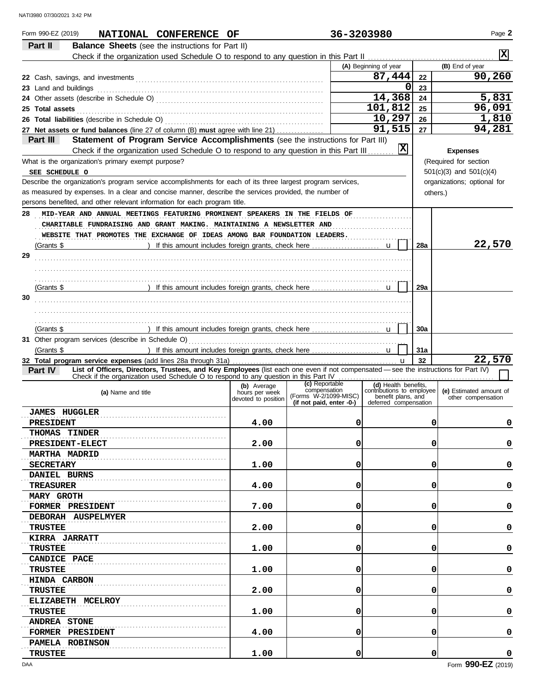| Form 990-EZ (2019)<br>NATIONAL CONFERENCE OF                                                                                                   |                               | 36-3203980                                        |                                                   |          | Page 2                      |
|------------------------------------------------------------------------------------------------------------------------------------------------|-------------------------------|---------------------------------------------------|---------------------------------------------------|----------|-----------------------------|
| Part II<br><b>Balance Sheets</b> (see the instructions for Part II)                                                                            |                               |                                                   |                                                   |          |                             |
|                                                                                                                                                |                               |                                                   |                                                   |          | <b>X</b>                    |
|                                                                                                                                                |                               |                                                   | (A) Beginning of year                             |          | (B) End of year             |
|                                                                                                                                                |                               |                                                   | 87,444                                            | 22       | 90,260                      |
| 23 Land and buildings                                                                                                                          |                               |                                                   | 0                                                 | 23       |                             |
|                                                                                                                                                |                               |                                                   | 14,368                                            | 24       | 5,831                       |
| 25 Total assets                                                                                                                                |                               |                                                   | 101,812                                           | 25       | 96,091                      |
|                                                                                                                                                |                               |                                                   | 10,297                                            | 26       | 1,810                       |
| 27 Net assets or fund balances (line 27 of column (B) must agree with line 21)                                                                 |                               |                                                   | 91,515                                            | 27       | 94,281                      |
| Part III<br>Statement of Program Service Accomplishments (see the instructions for Part III)                                                   |                               |                                                   |                                                   |          |                             |
| Check if the organization used Schedule O to respond to any question in this Part III.                                                         |                               |                                                   | 区                                                 |          | <b>Expenses</b>             |
| What is the organization's primary exempt purpose?                                                                                             |                               |                                                   |                                                   |          | (Required for section       |
| SEE SCHEDULE O                                                                                                                                 |                               |                                                   |                                                   |          | $501(c)(3)$ and $501(c)(4)$ |
| Describe the organization's program service accomplishments for each of its three largest program services,                                    |                               |                                                   |                                                   |          | organizations; optional for |
| as measured by expenses. In a clear and concise manner, describe the services provided, the number of                                          |                               |                                                   |                                                   | others.) |                             |
| persons benefited, and other relevant information for each program title.                                                                      |                               |                                                   |                                                   |          |                             |
| 28<br>MID-YEAR AND ANNUAL MEETINGS FEATURING PROMINENT SPEAKERS IN THE FIELDS OF                                                               |                               |                                                   |                                                   |          |                             |
| CHARITABLE FUNDRAISING AND GRANT MAKING. MAINTAINING A NEWSLETTER AND                                                                          |                               |                                                   |                                                   |          |                             |
| WEBSITE THAT PROMOTES THE EXCHANGE OF IDEAS AMONG BAR FOUNDATION LEADERS.                                                                      |                               |                                                   |                                                   |          |                             |
| (Grants \$                                                                                                                                     |                               |                                                   |                                                   | 28a      | 22,570                      |
| 29                                                                                                                                             |                               |                                                   |                                                   |          |                             |
|                                                                                                                                                |                               |                                                   |                                                   |          |                             |
|                                                                                                                                                |                               |                                                   |                                                   |          |                             |
|                                                                                                                                                |                               |                                                   |                                                   | 29a      |                             |
| (Grants \$                                                                                                                                     |                               |                                                   |                                                   |          |                             |
| 30                                                                                                                                             |                               |                                                   |                                                   |          |                             |
|                                                                                                                                                |                               |                                                   |                                                   |          |                             |
|                                                                                                                                                |                               |                                                   |                                                   |          |                             |
| (Grants \$                                                                                                                                     |                               |                                                   |                                                   | 30a      |                             |
|                                                                                                                                                |                               |                                                   |                                                   |          |                             |
| (Grants \$                                                                                                                                     |                               |                                                   |                                                   | 31a      | 22,570                      |
| List of Officers, Directors, Trustees, and Key Employees (list each one even if not compensated - see the instructions for Part IV)<br>Part IV |                               |                                                   | $\mathbf u$                                       | 32       |                             |
| Check if the organization used Schedule O to respond to any question in this Part IV                                                           |                               |                                                   |                                                   |          |                             |
| (a) Name and title                                                                                                                             | (b) Average<br>hours per week | (c) Reportable<br>compensation                    | (d) Health benefits,<br>contributions to employee |          | (e) Estimated amount of     |
|                                                                                                                                                | devoted to position           | (Forms W-2/1099-MISC)<br>(if not paid, enter -0-) | benefit plans, and<br>deferred compensation       |          | other compensation          |
| <b>JAMES HUGGLER</b>                                                                                                                           |                               |                                                   |                                                   |          |                             |
| <b>PRESIDENT</b>                                                                                                                               | 4.00                          | 0                                                 |                                                   | 0        | 0                           |
| <b>THOMAS TINDER</b>                                                                                                                           |                               |                                                   |                                                   |          |                             |
| <b>PRESIDENT-ELECT</b>                                                                                                                         | 2.00                          | 0                                                 |                                                   | 0        | 0                           |
| <b>MARTHA MADRID</b>                                                                                                                           |                               |                                                   |                                                   |          |                             |
|                                                                                                                                                | 1.00                          | 0                                                 |                                                   | 0        | 0                           |
| <b>SECRETARY</b>                                                                                                                               |                               |                                                   |                                                   |          |                             |
| DANIEL BURNS                                                                                                                                   |                               |                                                   |                                                   |          |                             |
| TREASURER                                                                                                                                      | 4.00                          | 0                                                 |                                                   | 0        | 0                           |
| <b>MARY GROTH</b>                                                                                                                              |                               |                                                   |                                                   |          |                             |
| FORMER PRESIDENT                                                                                                                               | 7.00                          | 0                                                 |                                                   | 0        | 0                           |
| DEBORAH AUSPELMYER                                                                                                                             |                               |                                                   |                                                   |          |                             |
| TRUSTEE                                                                                                                                        | 2.00                          | 0                                                 |                                                   | 0        | 0                           |
| <b>KIRRA JARRATT</b>                                                                                                                           |                               |                                                   |                                                   |          |                             |
| TRUSTEE                                                                                                                                        | 1.00                          | 0                                                 |                                                   | 0        | 0                           |
| <b>CANDICE PACE</b>                                                                                                                            |                               |                                                   |                                                   |          |                             |
| TRUSTEE                                                                                                                                        | 1.00                          | 0                                                 |                                                   | 0        | 0                           |
| <b>HINDA CARBON</b>                                                                                                                            |                               |                                                   |                                                   |          |                             |
| TRUSTEE                                                                                                                                        | 2.00                          | 0                                                 |                                                   | 0        | 0                           |
| ELIZABETH MCELROY                                                                                                                              |                               |                                                   |                                                   |          |                             |
| TRUSTEE                                                                                                                                        | 1.00                          | 0                                                 |                                                   | 0        | 0                           |
| <b>ANDREA STONE</b>                                                                                                                            |                               |                                                   |                                                   |          |                             |
| FORMER PRESIDENT                                                                                                                               | 4.00                          | 0                                                 |                                                   | 0        | 0                           |
| PAMELA ROBINSON                                                                                                                                |                               |                                                   |                                                   |          |                             |
| <b>TRUSTEE</b>                                                                                                                                 | 1.00                          | 0                                                 |                                                   | 0        | 0                           |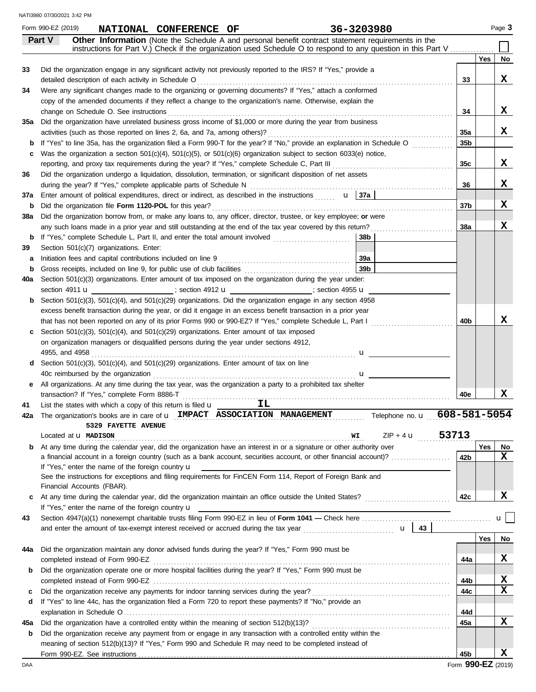All organizations. At any time during the tax year, was the organization a party to a prohibited tax shelter **e 37a** Enter amount of political expenditures, direct or indirect, as described in the instructions ....... **u 37a**  $ZIP + 4$  **u**  $.53713$ IMPACT ASSOCIATION MANAGEMENT Telephone no. u 608-581-5054 **40a** Section 501(c)(3) organizations. Enter amount of tax imposed on the organization during the year under: **b** Section 501(c)(3), 501(c)(4), and 501(c)(29) organizations. Did the organization engage in any section 4958 **d** Section 501(c)(3), 501(c)(4), and 501(c)(29) organizations. Enter amount of tax on line section 4911 **u** is ection 4912 **u** is section 4955 **u** is section 4955 **u** on organization managers or disqualified persons during the year under sections 4912, excess benefit transaction during the year, or did it engage in an excess benefit transaction in a prior year u 4955, and 4958 . . . . . . . . . . . . . . . . . . . . . . . . . . . . . . . . . . . . . . . . . . . . . . . . . . . . . . . . . . . . . . . . . . . . . . . . . . . . . . . . . . . . . . . . . . u **c** Section 501(c)(3), 501(c)(4), and 501(c)(29) organizations. Enter amount of tax imposed **40b 40e** transaction? If "Yes," complete Form 8886-T . . . . . . . . . . . . . . . . . . . . . . . . . . . . . . . . . . . . . . . . . . . . . . . . . . . . . . . . . . . . . . . . . . . . . . . . . . . . . . . . . . . . . . . . . . . **42b Yes No c 42c** At any time during the calendar year, did the organization maintain an office outside the United States? . . . . . . . . . . . . . . . . . . . . . . . . . . . . . If "Yes," enter the name of the foreign country  $\mathbf u$ See the instructions for exceptions and filing requirements for FinCEN Form 114, Report of Foreign Bank and If "Yes," enter the name of the foreign country  $\mathbf u$ a financial account in a foreign country (such as a bank account, securities account, or other financial account)? . . . . . . . . . . . . . . . . . . . . **b** At any time during the calendar year, did the organization have an interest in or a signature or other authority over Page 3 **41 42a** The organization's books are in care of **u** IMPACT ASSOCIATION MANAGEMENT **43 43** and enter the amount of tax-exempt interest received or accrued during the tax year . . . . . . . . . . . . . . . . . . . . . . . . . . . . . . . u List the states with which a copy of this return is filed  $\mathbf u$ Located at **u** MADISON 53713 Section 4947(a)(1) nonexempt charitable trusts filing Form 990-EZ in lieu of **Form 1041 —** Check here . . . . . . . . . . . . . . . . . . . . . . . . . . . . . . . . . . . . . . . . . . . . u **Part V Other Information** (Note the Schedule A and personal benefit contract statement requirements in the **Yes No 33 34 35a** Did the organization have unrelated business gross income of \$1,000 or more during the year from business **b 36 b** Did the organization file **Form 1120-POL** for this year? . . . . . . . . . . . . . . . . . . . . . . . . . . . . . . . . . . . . . . . . . . . . . . . . . . . . . . . . . . . . . . . . . . . . . . . . . . . . . . . . . . **38a b 38b** If "Yes," complete Schedule L, Part II, and enter the total amount involved . . . . . . . . . . . . . . . . . . . . . . . . . . **39 39a b 39b** Gross receipts, included on line 9, for public use of club facilities . . . . . . . . . . . . . . . . . . . . . . . . . . . . . . . . . . . . If "Yes" to line 35a, has the organization filed a Form 990-T for the year? If "No," provide an explanation in Schedule O Section 501(c)(7) organizations. Enter: Did the organization engage in any significant activity not previously reported to the IRS? If "Yes," provide a detailed description of each activity in Schedule O Martham Martha and Alexander and Alexander Activities and Were any significant changes made to the organizing or governing documents? If "Yes," attach a conformed Did the organization undergo a liquidation, dissolution, termination, or significant disposition of net assets Did the organization borrow from, or make any loans to, any officer, director, trustee, or key employee; **or** were any such loans made in a prior year and still outstanding at the end of the tax year covered by this return? **33** copy of the amended documents if they reflect a change to the organization's name. Otherwise, explain the **34** Was the organization a section 501(c)(4), 501(c)(5), or 501(c)(6) organization subject to section 6033(e) notice, **35a 35b** activities (such as those reported on lines 2, 6a, and 7a, among others)? . . . . . . . . . . . . . . . . . . . . . . . . . . . . . . . . . . . . . . . . . . . . . . . . . . . . . . . . . . . . . . . during the year? If "Yes," complete applicable parts of Schedule N . . . . . . . . . . . . . . . . . . . . . . . . . . . . . . . . . . . . . . . . . . . . . . . . . . . . . . . . . . . . . . . . . . . . . **36 37b 38a a** Initiation fees and capital contributions included on line 9 . . . . . . . . . . . . . . . . . . . . . . . . . . . . . . . . . . . . . . . . . . . . that has not been reported on any of its prior Forms 990 or 990-EZ? If "Yes," complete Schedule L, Part I www.www.www. completed instead of Form 990-EZ . . . . . . . . . . . . . . . . . . . . . . . . . . . . . . . . . . . . . . . . . . . . . . . . . . . . . . . . . . . . . . . . . . . . . . . . . . . . . . . . . . . . . . . . . . . . . . . . . . . . . **44a** Did the organization maintain any donor advised funds during the year? If "Yes," Form 990 must be **b** Did the organization operate one or more hospital facilities during the year? If "Yes," Form 990 must be completed instead of Form 990-EZ . . . . . . . . . . . . . . . . . . . . . . . . . . . . . . . . . . . . . . . . . . . . . . . . . . . . . . . . . . . . . . . . . . . . . . . . . . . . . . . . . . . . . . . . . . . . . . . . . . . . . **Yes No 44a 44b** 40c reimbursed by the organization . . . . . . . . . . . . . . . . . . . . . . . . . . . . . . . . . . . . . . . . . . . . . . . . . . . . . . . . . . . . . . . . . . . . . instructions for Part V.) Check if the organization used Schedule O to respond to any question in this Part V ....... change on Schedule O. See instructions entitled and contain an according on Schedule O. See instructions and contain a set of the set of the set of the set of the set of the set of the set of the set of the set of the set **44c 44d** Did the organization receive any payments for indoor tanning services during the year? . . . . . . . . . . . . . . . . . . . . . . . . . . . . . . . . . . . . . . . . . . . . . . . If "Yes" to line 44c, has the organization filed a Form 720 to report these payments? If "No," provide an **d** explanation in Schedule O . . . . . . . . . . . . . . . . . . . . . . . . . . . . . . . . . . . . . . . . . . . . . . . . . . . . . . . . . . . . . . . . . . . . . . . . . . . . . . . . . . . . . . . . . . . . . . . . . . . . . . . . . . . . . . . **c c** reporting, and proxy tax requirements during the year? If "Yes," complete Schedule C, Part III **35c** . . . . . . . . . . . . . . . . . . . . . . . . . . . . . . . . . . . . . . . . . **b 45b** meaning of section 512(b)(13)? If "Yes," Form 990 and Schedule R may need to be completed instead of **45a** Did the organization have a controlled entity within the meaning of section 512(b)(13)? . . . . . . . . . . . . . . . . . . . . . . . . . . . . . . . . . . . . . . . . . . . . . . . Did the organization receive any payment from or engage in any transaction with a controlled entity within the **45a** Form 990-EZ. See instructions Financial Accounts (FBAR). Form 990-EZ (2019) **NATIONAL CONFERENCE OF 36-3203980 X X X X X X X X X IL 5329 FAYETTE AVENUE X X X X X X X**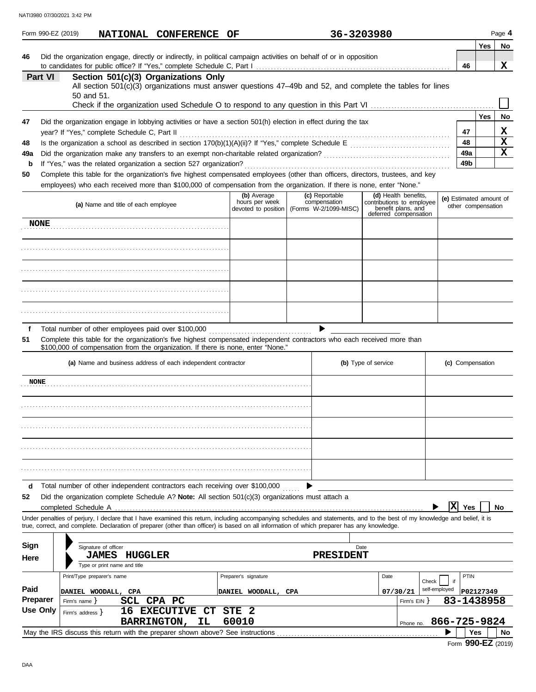|                 |                 | Form 990-EZ (2019)                                                                                  |                                                                      |         |                    | NATIONAL CONFERENCE OF                                       |       |                                                                                                     | 36-3203980                                                                                                                                                                                                                                                                                                               |                     |                                                                                                  |                         |                        |            | Page 4  |
|-----------------|-----------------|-----------------------------------------------------------------------------------------------------|----------------------------------------------------------------------|---------|--------------------|--------------------------------------------------------------|-------|-----------------------------------------------------------------------------------------------------|--------------------------------------------------------------------------------------------------------------------------------------------------------------------------------------------------------------------------------------------------------------------------------------------------------------------------|---------------------|--------------------------------------------------------------------------------------------------|-------------------------|------------------------|------------|---------|
| 46              |                 |                                                                                                     |                                                                      |         |                    |                                                              |       |                                                                                                     | Did the organization engage, directly or indirectly, in political campaign activities on behalf of or in opposition                                                                                                                                                                                                      |                     |                                                                                                  |                         |                        | Yes        | No<br>x |
|                 | Part VI         | 50 and 51.                                                                                          |                                                                      |         |                    | Section 501(c)(3) Organizations Only                         |       |                                                                                                     | All section 501(c)(3) organizations must answer questions 47-49b and 52, and complete the tables for lines                                                                                                                                                                                                               |                     |                                                                                                  |                         | 46                     |            |         |
| 47              |                 |                                                                                                     |                                                                      |         |                    |                                                              |       |                                                                                                     | Did the organization engage in lobbying activities or have a section 501(h) election in effect during the tax                                                                                                                                                                                                            |                     |                                                                                                  |                         |                        | <b>Yes</b> | No      |
| 48              |                 | year? If "Yes," complete Schedule C, Part II                                                        |                                                                      |         |                    |                                                              |       |                                                                                                     |                                                                                                                                                                                                                                                                                                                          |                     |                                                                                                  |                         | 47<br>48               |            | х<br>X  |
| 49a<br>b<br>50  |                 | If "Yes," was the related organization a section 527 organization?                                  |                                                                      |         |                    |                                                              |       |                                                                                                     | Complete this table for the organization's five highest compensated employees (other than officers, directors, trustees, and key<br>employees) who each received more than \$100,000 of compensation from the organization. If there is none, enter "None."                                                              |                     |                                                                                                  |                         | 49a<br>49 <sub>b</sub> |            | x       |
|                 |                 |                                                                                                     | (a) Name and title of each employee                                  |         |                    |                                                              |       | (b) Average<br>hours per week                                                                       | (c) Reportable<br>compensation<br>devoted to position (Forms W-2/1099-MISC)                                                                                                                                                                                                                                              |                     | (d) Health benefits,<br>contributions to employee<br>benefit plans, and<br>deferred compensation | (e) Estimated amount of | other compensation     |            |         |
|                 | <b>NONE</b>     |                                                                                                     |                                                                      |         |                    |                                                              |       |                                                                                                     |                                                                                                                                                                                                                                                                                                                          |                     |                                                                                                  |                         |                        |            |         |
|                 |                 |                                                                                                     |                                                                      |         |                    |                                                              |       |                                                                                                     |                                                                                                                                                                                                                                                                                                                          |                     |                                                                                                  |                         |                        |            |         |
|                 |                 |                                                                                                     |                                                                      |         |                    |                                                              |       |                                                                                                     |                                                                                                                                                                                                                                                                                                                          |                     |                                                                                                  |                         |                        |            |         |
|                 |                 |                                                                                                     |                                                                      |         |                    |                                                              |       |                                                                                                     |                                                                                                                                                                                                                                                                                                                          |                     |                                                                                                  |                         |                        |            |         |
|                 |                 |                                                                                                     |                                                                      |         |                    |                                                              |       |                                                                                                     |                                                                                                                                                                                                                                                                                                                          |                     |                                                                                                  |                         |                        |            |         |
| f<br>51         |                 | Total number of other employees paid over \$100,000                                                 |                                                                      |         |                    |                                                              |       | \$100,000 of compensation from the organization. If there is none, enter "None."                    | Complete this table for the organization's five highest compensated independent contractors who each received more than                                                                                                                                                                                                  |                     |                                                                                                  |                         |                        |            |         |
|                 |                 |                                                                                                     |                                                                      |         |                    | (a) Name and business address of each independent contractor |       |                                                                                                     |                                                                                                                                                                                                                                                                                                                          | (b) Type of service |                                                                                                  |                         | (c) Compensation       |            |         |
| <b>NONE</b>     |                 |                                                                                                     |                                                                      |         |                    |                                                              |       |                                                                                                     |                                                                                                                                                                                                                                                                                                                          |                     |                                                                                                  |                         |                        |            |         |
|                 |                 |                                                                                                     |                                                                      |         |                    |                                                              |       |                                                                                                     |                                                                                                                                                                                                                                                                                                                          |                     |                                                                                                  |                         |                        |            |         |
|                 |                 |                                                                                                     |                                                                      |         |                    |                                                              |       |                                                                                                     |                                                                                                                                                                                                                                                                                                                          |                     |                                                                                                  |                         |                        |            |         |
|                 |                 |                                                                                                     |                                                                      |         |                    |                                                              |       |                                                                                                     |                                                                                                                                                                                                                                                                                                                          |                     |                                                                                                  |                         |                        |            |         |
|                 |                 |                                                                                                     |                                                                      |         |                    |                                                              |       |                                                                                                     |                                                                                                                                                                                                                                                                                                                          |                     |                                                                                                  |                         |                        |            |         |
| d<br>52         |                 | Total number of other independent contractors each receiving over \$100,000<br>completed Schedule A |                                                                      |         |                    |                                                              |       | Did the organization complete Schedule A? Note: All section $501(c)(3)$ organizations must attach a |                                                                                                                                                                                                                                                                                                                          |                     |                                                                                                  | $\overline{\mathbf{x}}$ | Yes                    |            | No      |
|                 |                 |                                                                                                     |                                                                      |         |                    |                                                              |       |                                                                                                     | Under penalties of perjury, I declare that I have examined this return, including accompanying schedules and statements, and to the best of my knowledge and belief, it is<br>true, correct, and complete. Declaration of preparer (other than officer) is based on all information of which preparer has any knowledge. |                     |                                                                                                  |                         |                        |            |         |
| Sign<br>Here    |                 |                                                                                                     | Signature of officer<br><b>JAMES</b><br>Type or print name and title | HUGGLER |                    |                                                              |       |                                                                                                     | Date<br>PRESIDENT                                                                                                                                                                                                                                                                                                        |                     |                                                                                                  |                         |                        |            |         |
| Paid            |                 | Print/Type preparer's name                                                                          |                                                                      |         |                    |                                                              |       | Preparer's signature                                                                                |                                                                                                                                                                                                                                                                                                                          | Date                | Check                                                                                            | if<br>self-employed     | PTIN                   |            |         |
| <b>Preparer</b> | <b>Use Only</b> | DANIEL WOODALL, CPA<br>Firm's name }<br>Firm's address $\}$                                         |                                                                      |         | SCL CPA PC         | <b>16 EXECUTIVE CT STE 2</b>                                 |       | DANIEL WOODALL, CPA                                                                                 |                                                                                                                                                                                                                                                                                                                          |                     | 07/30/21<br>Firm's $EIN$ }                                                                       | 83-1438958              | P02127349              |            |         |
|                 |                 |                                                                                                     |                                                                      |         | <b>BARRINGTON,</b> | ΙL                                                           | 60010 |                                                                                                     |                                                                                                                                                                                                                                                                                                                          |                     | Phone no. 866-725-9824                                                                           |                         |                        |            |         |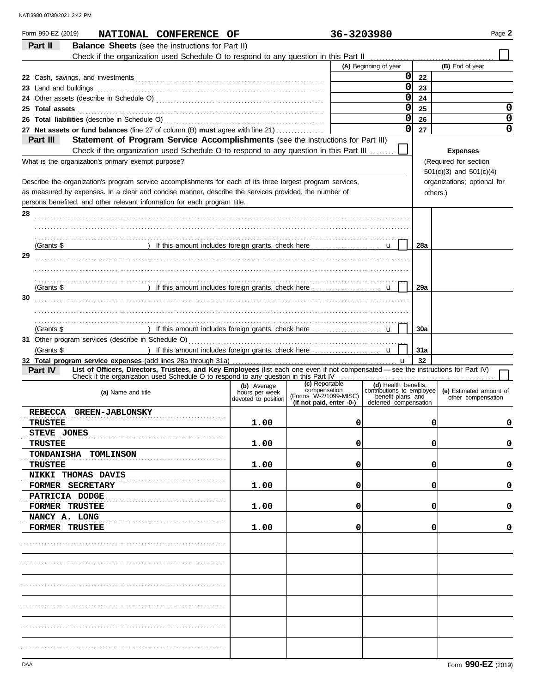| Form 990-EZ (2019)<br>NATIONAL CONFERENCE OF                                                                                                                                                                                           |                                       | 36-3203980                     |                                                   |          | Page 2                                        |
|----------------------------------------------------------------------------------------------------------------------------------------------------------------------------------------------------------------------------------------|---------------------------------------|--------------------------------|---------------------------------------------------|----------|-----------------------------------------------|
| Part II<br><b>Balance Sheets</b> (see the instructions for Part II)                                                                                                                                                                    |                                       |                                |                                                   |          |                                               |
|                                                                                                                                                                                                                                        |                                       |                                |                                                   |          |                                               |
|                                                                                                                                                                                                                                        |                                       |                                | (A) Beginning of year<br> 0                       |          | (B) End of year                               |
| 23 Land and buildings                                                                                                                                                                                                                  |                                       |                                | $\overline{0}$                                    | 22<br>23 |                                               |
|                                                                                                                                                                                                                                        |                                       |                                | $\mathbf 0$                                       | 24       |                                               |
|                                                                                                                                                                                                                                        |                                       |                                | $\overline{0}$                                    | 25       | 0                                             |
| 25 Total assets <b>25 Total</b> assets <b>25 Total assets</b>                                                                                                                                                                          |                                       |                                | $\overline{0}$                                    | 26       | 0                                             |
| 27 Net assets or fund balances (line 27 of column (B) must agree with line 21)                                                                                                                                                         |                                       |                                | $\overline{0}$                                    | 27       | 0                                             |
| Statement of Program Service Accomplishments (see the instructions for Part III)<br>Part III                                                                                                                                           |                                       |                                |                                                   |          |                                               |
| Check if the organization used Schedule O to respond to any question in this Part III.<br>What is the organization's primary exempt purpose?                                                                                           |                                       |                                |                                                   |          | <b>Expenses</b><br>(Required for section      |
|                                                                                                                                                                                                                                        |                                       |                                |                                                   |          | $501(c)(3)$ and $501(c)(4)$                   |
| Describe the organization's program service accomplishments for each of its three largest program services,                                                                                                                            |                                       |                                |                                                   |          | organizations; optional for                   |
| as measured by expenses. In a clear and concise manner, describe the services provided, the number of                                                                                                                                  |                                       |                                |                                                   |          | others.)                                      |
| persons benefited, and other relevant information for each program title.                                                                                                                                                              |                                       |                                |                                                   |          |                                               |
| 28                                                                                                                                                                                                                                     |                                       |                                |                                                   |          |                                               |
|                                                                                                                                                                                                                                        |                                       |                                |                                                   |          |                                               |
|                                                                                                                                                                                                                                        |                                       |                                |                                                   |          |                                               |
| (Grants \$<br>) If this amount includes foreign grants, check here $\ldots$ $\ldots$ $\ldots$ $\ldots$ $\ldots$<br>29                                                                                                                  |                                       |                                |                                                   | 28a      |                                               |
|                                                                                                                                                                                                                                        |                                       |                                |                                                   |          |                                               |
|                                                                                                                                                                                                                                        |                                       |                                |                                                   |          |                                               |
| (Grants \$                                                                                                                                                                                                                             |                                       |                                |                                                   | 29a      |                                               |
| 30                                                                                                                                                                                                                                     |                                       |                                |                                                   |          |                                               |
|                                                                                                                                                                                                                                        |                                       |                                |                                                   |          |                                               |
|                                                                                                                                                                                                                                        |                                       |                                |                                                   |          |                                               |
| (Grants \$                                                                                                                                                                                                                             |                                       |                                |                                                   | 30a      |                                               |
|                                                                                                                                                                                                                                        |                                       |                                |                                                   |          |                                               |
| (Grants \$                                                                                                                                                                                                                             |                                       |                                |                                                   | 31a      |                                               |
|                                                                                                                                                                                                                                        |                                       |                                | u                                                 | 32       |                                               |
| List of Officers, Directors, Trustees, and Key Employees (list each one even if not compensated - see the instructions for Part IV)<br>Part IV<br>Check if the organization used Schedule O to respond to any question in this Part IV |                                       |                                |                                                   |          |                                               |
|                                                                                                                                                                                                                                        | (b) Average                           | (c) Reportable<br>compensation | (d) Health benefits,<br>contributions to employee |          |                                               |
| (a) Name and title                                                                                                                                                                                                                     | hours per week<br>devoted to position | (Forms W-2/1099-MISC)          | benefit plans, and                                |          | (e) Estimated amount of<br>other compensation |
|                                                                                                                                                                                                                                        |                                       | (if not paid, enter -0-)       | deferred compensation                             |          |                                               |
| REBECCA GREEN-JABLONSKY<br><b>TRUSTEE</b>                                                                                                                                                                                              | 1.00                                  | 0                              |                                                   | 0        | 0                                             |
| STEVE JONES                                                                                                                                                                                                                            |                                       |                                |                                                   |          |                                               |
| <b>TRUSTEE</b>                                                                                                                                                                                                                         | 1.00                                  | 0                              |                                                   | 0        | 0                                             |
| TONDANISHA<br><b>TOMLINSON</b>                                                                                                                                                                                                         |                                       |                                |                                                   |          |                                               |
| <b>TRUSTEE</b>                                                                                                                                                                                                                         | 1.00                                  | 0                              |                                                   | 0        | 0                                             |
| NIKKI THOMAS DAVIS                                                                                                                                                                                                                     |                                       |                                |                                                   |          |                                               |
| FORMER SECRETARY                                                                                                                                                                                                                       | 1.00                                  | 0                              |                                                   | 0        | 0                                             |
| PATRICIA DODGE                                                                                                                                                                                                                         |                                       |                                |                                                   |          |                                               |
| <b>FORMER TRUSTEE</b>                                                                                                                                                                                                                  | 1.00                                  | 0                              |                                                   | 0        | 0                                             |
| NANCY A. LONG                                                                                                                                                                                                                          |                                       |                                |                                                   |          |                                               |
| <b>TRUSTEE</b><br>FORMER                                                                                                                                                                                                               | 1.00                                  | 0                              |                                                   | 0        | 0                                             |
|                                                                                                                                                                                                                                        |                                       |                                |                                                   |          |                                               |
|                                                                                                                                                                                                                                        |                                       |                                |                                                   |          |                                               |
|                                                                                                                                                                                                                                        |                                       |                                |                                                   |          |                                               |
|                                                                                                                                                                                                                                        |                                       |                                |                                                   |          |                                               |
|                                                                                                                                                                                                                                        |                                       |                                |                                                   |          |                                               |
|                                                                                                                                                                                                                                        |                                       |                                |                                                   |          |                                               |
|                                                                                                                                                                                                                                        |                                       |                                |                                                   |          |                                               |
|                                                                                                                                                                                                                                        |                                       |                                |                                                   |          |                                               |
|                                                                                                                                                                                                                                        |                                       |                                |                                                   |          |                                               |
|                                                                                                                                                                                                                                        |                                       |                                |                                                   |          |                                               |
|                                                                                                                                                                                                                                        |                                       |                                |                                                   |          |                                               |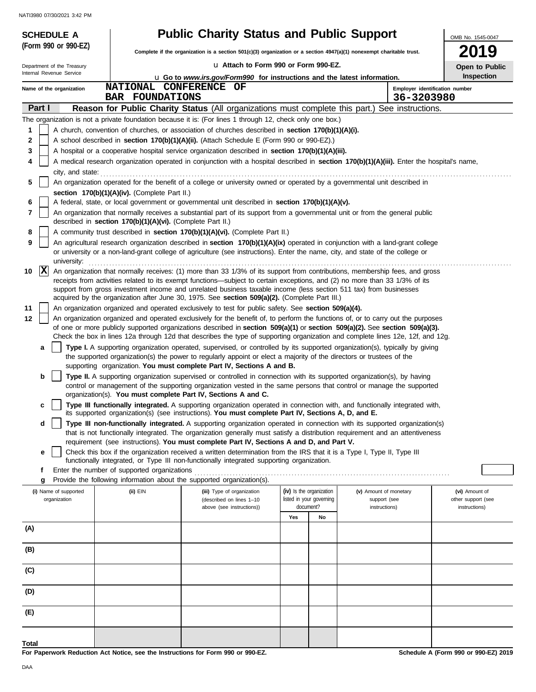|              | <b>SCHEDULE A</b>                                                                                                                                                   |                                                            | <b>Public Charity Status and Public Support</b>                                                                                                                                                                                                                |                                                      |    |                                        |            |                                      |  |
|--------------|---------------------------------------------------------------------------------------------------------------------------------------------------------------------|------------------------------------------------------------|----------------------------------------------------------------------------------------------------------------------------------------------------------------------------------------------------------------------------------------------------------------|------------------------------------------------------|----|----------------------------------------|------------|--------------------------------------|--|
|              | (Form 990 or 990-EZ)                                                                                                                                                |                                                            | Complete if the organization is a section 501(c)(3) organization or a section 4947(a)(1) nonexempt charitable trust.                                                                                                                                           |                                                      |    |                                        |            | <b>2019</b>                          |  |
|              | Department of the Treasury                                                                                                                                          |                                                            | La Attach to Form 990 or Form 990-EZ.                                                                                                                                                                                                                          |                                                      |    |                                        |            | Open to Public                       |  |
|              | Internal Revenue Service                                                                                                                                            |                                                            | <b>u</b> Go to www.irs.gov/Form990 for instructions and the latest information.                                                                                                                                                                                |                                                      |    |                                        |            | Inspection                           |  |
|              | Name of the organization                                                                                                                                            | NATIONAL CONFERENCE<br><b>BAR FOUNDATIONS</b>              | OF                                                                                                                                                                                                                                                             |                                                      |    |                                        | 36-3203980 | Employer identification number       |  |
| Part I       |                                                                                                                                                                     |                                                            | Reason for Public Charity Status (All organizations must complete this part.) See instructions.                                                                                                                                                                |                                                      |    |                                        |            |                                      |  |
|              |                                                                                                                                                                     |                                                            | The organization is not a private foundation because it is: (For lines 1 through 12, check only one box.)                                                                                                                                                      |                                                      |    |                                        |            |                                      |  |
| 1            |                                                                                                                                                                     |                                                            | A church, convention of churches, or association of churches described in section 170(b)(1)(A)(i).                                                                                                                                                             |                                                      |    |                                        |            |                                      |  |
| $\mathbf{2}$ |                                                                                                                                                                     |                                                            | A school described in section 170(b)(1)(A)(ii). (Attach Schedule E (Form 990 or 990-EZ).)                                                                                                                                                                      |                                                      |    |                                        |            |                                      |  |
| 3            |                                                                                                                                                                     |                                                            | A hospital or a cooperative hospital service organization described in section 170(b)(1)(A)(iii).                                                                                                                                                              |                                                      |    |                                        |            |                                      |  |
|              | A medical research organization operated in conjunction with a hospital described in section 170(b)(1)(A)(iii). Enter the hospital's name,<br>4<br>city, and state: |                                                            |                                                                                                                                                                                                                                                                |                                                      |    |                                        |            |                                      |  |
| 5            | An organization operated for the benefit of a college or university owned or operated by a governmental unit described in                                           |                                                            |                                                                                                                                                                                                                                                                |                                                      |    |                                        |            |                                      |  |
|              |                                                                                                                                                                     | section 170(b)(1)(A)(iv). (Complete Part II.)              |                                                                                                                                                                                                                                                                |                                                      |    |                                        |            |                                      |  |
| 6            |                                                                                                                                                                     |                                                            | A federal, state, or local government or governmental unit described in section 170(b)(1)(A)(v).                                                                                                                                                               |                                                      |    |                                        |            |                                      |  |
| 7            |                                                                                                                                                                     |                                                            | An organization that normally receives a substantial part of its support from a governmental unit or from the general public                                                                                                                                   |                                                      |    |                                        |            |                                      |  |
| 8            |                                                                                                                                                                     | described in section 170(b)(1)(A)(vi). (Complete Part II.) | A community trust described in section 170(b)(1)(A)(vi). (Complete Part II.)                                                                                                                                                                                   |                                                      |    |                                        |            |                                      |  |
| 9            |                                                                                                                                                                     |                                                            | An agricultural research organization described in section 170(b)(1)(A)(ix) operated in conjunction with a land-grant college                                                                                                                                  |                                                      |    |                                        |            |                                      |  |
|              | university:                                                                                                                                                         |                                                            | or university or a non-land-grant college of agriculture (see instructions). Enter the name, city, and state of the college or                                                                                                                                 |                                                      |    |                                        |            |                                      |  |
| 10           | $ {\bf x} $                                                                                                                                                         |                                                            | An organization that normally receives: (1) more than 33 1/3% of its support from contributions, membership fees, and gross                                                                                                                                    |                                                      |    |                                        |            |                                      |  |
|              |                                                                                                                                                                     |                                                            | receipts from activities related to its exempt functions—subject to certain exceptions, and (2) no more than 33 1/3% of its                                                                                                                                    |                                                      |    |                                        |            |                                      |  |
|              |                                                                                                                                                                     |                                                            | support from gross investment income and unrelated business taxable income (less section 511 tax) from businesses<br>acquired by the organization after June 30, 1975. See section 509(a)(2). (Complete Part III.)                                             |                                                      |    |                                        |            |                                      |  |
| 11           |                                                                                                                                                                     |                                                            | An organization organized and operated exclusively to test for public safety. See section 509(a)(4).                                                                                                                                                           |                                                      |    |                                        |            |                                      |  |
| 12           |                                                                                                                                                                     |                                                            | An organization organized and operated exclusively for the benefit of, to perform the functions of, or to carry out the purposes                                                                                                                               |                                                      |    |                                        |            |                                      |  |
|              |                                                                                                                                                                     |                                                            | of one or more publicly supported organizations described in section 509(a)(1) or section 509(a)(2). See section 509(a)(3).<br>Check the box in lines 12a through 12d that describes the type of supporting organization and complete lines 12e, 12f, and 12g. |                                                      |    |                                        |            |                                      |  |
|              | a                                                                                                                                                                   |                                                            | Type I. A supporting organization operated, supervised, or controlled by its supported organization(s), typically by giving                                                                                                                                    |                                                      |    |                                        |            |                                      |  |
|              |                                                                                                                                                                     |                                                            | the supported organization(s) the power to regularly appoint or elect a majority of the directors or trustees of the<br>supporting organization. You must complete Part IV, Sections A and B.                                                                  |                                                      |    |                                        |            |                                      |  |
|              | b                                                                                                                                                                   |                                                            | Type II. A supporting organization supervised or controlled in connection with its supported organization(s), by having                                                                                                                                        |                                                      |    |                                        |            |                                      |  |
|              |                                                                                                                                                                     |                                                            | control or management of the supporting organization vested in the same persons that control or manage the supported                                                                                                                                           |                                                      |    |                                        |            |                                      |  |
|              |                                                                                                                                                                     |                                                            | organization(s). You must complete Part IV, Sections A and C.                                                                                                                                                                                                  |                                                      |    |                                        |            |                                      |  |
|              | c                                                                                                                                                                   |                                                            | Type III functionally integrated. A supporting organization operated in connection with, and functionally integrated with,<br>its supported organization(s) (see instructions). You must complete Part IV, Sections A, D, and E.                               |                                                      |    |                                        |            |                                      |  |
|              | d                                                                                                                                                                   |                                                            | Type III non-functionally integrated. A supporting organization operated in connection with its supported organization(s)                                                                                                                                      |                                                      |    |                                        |            |                                      |  |
|              |                                                                                                                                                                     |                                                            | that is not functionally integrated. The organization generally must satisfy a distribution requirement and an attentiveness                                                                                                                                   |                                                      |    |                                        |            |                                      |  |
|              | е                                                                                                                                                                   |                                                            | requirement (see instructions). You must complete Part IV, Sections A and D, and Part V.<br>Check this box if the organization received a written determination from the IRS that it is a Type I, Type II, Type III                                            |                                                      |    |                                        |            |                                      |  |
|              |                                                                                                                                                                     |                                                            | functionally integrated, or Type III non-functionally integrated supporting organization.                                                                                                                                                                      |                                                      |    |                                        |            |                                      |  |
|              | f                                                                                                                                                                   | Enter the number of supported organizations                |                                                                                                                                                                                                                                                                |                                                      |    |                                        |            |                                      |  |
|              | g                                                                                                                                                                   |                                                            | Provide the following information about the supported organization(s).                                                                                                                                                                                         |                                                      |    |                                        |            |                                      |  |
|              | (i) Name of supported<br>organization                                                                                                                               | (ii) EIN                                                   | (iii) Type of organization<br>(described on lines 1-10                                                                                                                                                                                                         | (iv) Is the organization<br>listed in your governing |    | (v) Amount of monetary<br>support (see |            | (vi) Amount of<br>other support (see |  |
|              |                                                                                                                                                                     |                                                            | above (see instructions))                                                                                                                                                                                                                                      | document?                                            |    | instructions)                          |            | instructions)                        |  |
|              |                                                                                                                                                                     |                                                            |                                                                                                                                                                                                                                                                | Yes                                                  | No |                                        |            |                                      |  |
| (A)          |                                                                                                                                                                     |                                                            |                                                                                                                                                                                                                                                                |                                                      |    |                                        |            |                                      |  |
| (B)          |                                                                                                                                                                     |                                                            |                                                                                                                                                                                                                                                                |                                                      |    |                                        |            |                                      |  |
| (C)          |                                                                                                                                                                     |                                                            |                                                                                                                                                                                                                                                                |                                                      |    |                                        |            |                                      |  |
| (D)          |                                                                                                                                                                     |                                                            |                                                                                                                                                                                                                                                                |                                                      |    |                                        |            |                                      |  |
| (E)          |                                                                                                                                                                     |                                                            |                                                                                                                                                                                                                                                                |                                                      |    |                                        |            |                                      |  |
|              |                                                                                                                                                                     |                                                            |                                                                                                                                                                                                                                                                |                                                      |    |                                        |            |                                      |  |
| Total        |                                                                                                                                                                     |                                                            |                                                                                                                                                                                                                                                                |                                                      |    |                                        |            |                                      |  |

**For Paperwork Reduction Act Notice, see the Instructions for Form 990 or 990-EZ.**

**Schedule A (Form 990 or 990-EZ) 2019**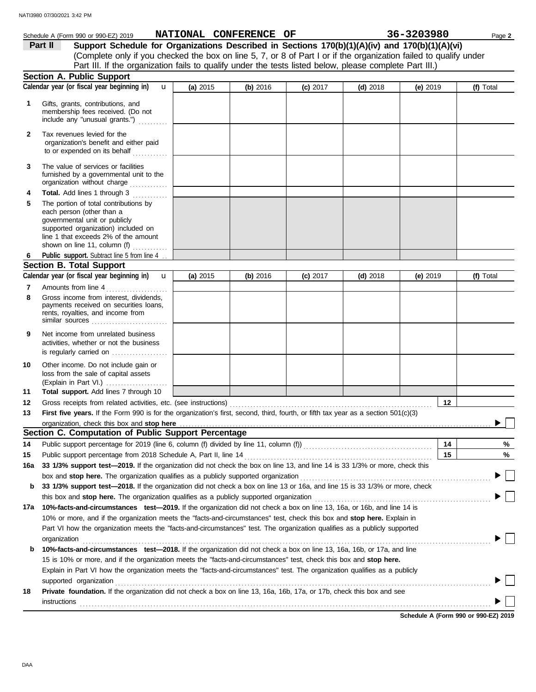|              | Schedule A (Form 990 or 990-EZ) 2019                                                                                                                                                                                                                                                      |          | NATIONAL CONFERENCE OF |            |            | 36-3203980 |    | Page 2    |  |
|--------------|-------------------------------------------------------------------------------------------------------------------------------------------------------------------------------------------------------------------------------------------------------------------------------------------|----------|------------------------|------------|------------|------------|----|-----------|--|
|              | Support Schedule for Organizations Described in Sections 170(b)(1)(A)(iv) and 170(b)(1)(A)(vi)<br>Part II                                                                                                                                                                                 |          |                        |            |            |            |    |           |  |
|              | (Complete only if you checked the box on line 5, 7, or 8 of Part I or if the organization failed to qualify under                                                                                                                                                                         |          |                        |            |            |            |    |           |  |
|              | Part III. If the organization fails to qualify under the tests listed below, please complete Part III.)                                                                                                                                                                                   |          |                        |            |            |            |    |           |  |
|              | Section A. Public Support                                                                                                                                                                                                                                                                 |          |                        |            |            |            |    |           |  |
|              | Calendar year (or fiscal year beginning in)<br>$\mathbf{u}$                                                                                                                                                                                                                               | (a) 2015 | (b) 2016               | $(c)$ 2017 | $(d)$ 2018 | $(e)$ 2019 |    | (f) Total |  |
| 1            | Gifts, grants, contributions, and<br>membership fees received. (Do not<br>include any "unusual grants.")                                                                                                                                                                                  |          |                        |            |            |            |    |           |  |
| $\mathbf{2}$ | Tax revenues levied for the<br>organization's benefit and either paid<br>to or expended on its behalf                                                                                                                                                                                     |          |                        |            |            |            |    |           |  |
| 3            | The value of services or facilities<br>furnished by a governmental unit to the<br>organization without charge                                                                                                                                                                             |          |                        |            |            |            |    |           |  |
| 4            | Total. Add lines 1 through 3                                                                                                                                                                                                                                                              |          |                        |            |            |            |    |           |  |
| 5            | The portion of total contributions by<br>each person (other than a<br>governmental unit or publicly<br>supported organization) included on<br>line 1 that exceeds 2% of the amount<br>shown on line 11, column (f) $\ldots$                                                               |          |                        |            |            |            |    |           |  |
| 6            | Public support. Subtract line 5 from line 4.                                                                                                                                                                                                                                              |          |                        |            |            |            |    |           |  |
|              | <b>Section B. Total Support</b>                                                                                                                                                                                                                                                           |          |                        |            |            |            |    |           |  |
|              | Calendar year (or fiscal year beginning in)<br>$\mathbf{u}$                                                                                                                                                                                                                               | (a) 2015 | (b) 2016               | $(c)$ 2017 | $(d)$ 2018 | (e) 2019   |    | (f) Total |  |
| 7            | Amounts from line 4                                                                                                                                                                                                                                                                       |          |                        |            |            |            |    |           |  |
| 8            | Gross income from interest, dividends,<br>payments received on securities loans,<br>rents, royalties, and income from<br>similar sources                                                                                                                                                  |          |                        |            |            |            |    |           |  |
| 9            | Net income from unrelated business<br>activities, whether or not the business<br>is regularly carried on                                                                                                                                                                                  |          |                        |            |            |            |    |           |  |
| 10           | Other income. Do not include gain or<br>loss from the sale of capital assets<br>(Explain in Part VI.)                                                                                                                                                                                     |          |                        |            |            |            |    |           |  |
| 11           | Total support. Add lines 7 through 10                                                                                                                                                                                                                                                     |          |                        |            |            |            | 12 |           |  |
| 12           | First five years. If the Form 990 is for the organization's first, second, third, fourth, or fifth tax year as a section 501(c)(3)                                                                                                                                                        |          |                        |            |            |            |    |           |  |
| 13           |                                                                                                                                                                                                                                                                                           |          |                        |            |            |            |    |           |  |
|              | organization, check this box and stop here <i>maching and accordination</i> and according to the state of the state of the state of the state of the state of the state of the state of the state of the state of the state of the<br>Section C. Computation of Public Support Percentage |          |                        |            |            |            |    |           |  |
| 14           | Public support percentage for 2019 (line 6, column (f) divided by line 11, column (f)) [[[[[[[[[[[[[[[[[[[[[[                                                                                                                                                                             |          |                        |            |            |            | 14 | %         |  |
| 15           | Public support percentage from 2018 Schedule A, Part II, line 14                                                                                                                                                                                                                          |          |                        |            |            |            | 15 | %         |  |
| 16a          | 33 1/3% support test-2019. If the organization did not check the box on line 13, and line 14 is 33 1/3% or more, check this                                                                                                                                                               |          |                        |            |            |            |    |           |  |
|              | box and stop here. The organization qualifies as a publicly supported organization <b>construes and stop here.</b> The organization                                                                                                                                                       |          |                        |            |            |            |    |           |  |
| b            | 33 1/3% support test-2018. If the organization did not check a box on line 13 or 16a, and line 15 is 33 1/3% or more, check                                                                                                                                                               |          |                        |            |            |            |    |           |  |
|              | this box and stop here. The organization qualifies as a publicly supported organization                                                                                                                                                                                                   |          |                        |            |            |            |    |           |  |
| 17a          | 10%-facts-and-circumstances test-2019. If the organization did not check a box on line 13, 16a, or 16b, and line 14 is                                                                                                                                                                    |          |                        |            |            |            |    |           |  |
|              | 10% or more, and if the organization meets the "facts-and-circumstances" test, check this box and stop here. Explain in                                                                                                                                                                   |          |                        |            |            |            |    |           |  |
|              | Part VI how the organization meets the "facts-and-circumstances" test. The organization qualifies as a publicly supported                                                                                                                                                                 |          |                        |            |            |            |    |           |  |
|              | organization                                                                                                                                                                                                                                                                              |          |                        |            |            |            |    |           |  |
| b            | 10%-facts-and-circumstances test-2018. If the organization did not check a box on line 13, 16a, 16b, or 17a, and line                                                                                                                                                                     |          |                        |            |            |            |    |           |  |
|              | 15 is 10% or more, and if the organization meets the "facts-and-circumstances" test, check this box and stop here.                                                                                                                                                                        |          |                        |            |            |            |    |           |  |
|              | Explain in Part VI how the organization meets the "facts-and-circumstances" test. The organization qualifies as a publicly                                                                                                                                                                |          |                        |            |            |            |    |           |  |
|              | supported organization                                                                                                                                                                                                                                                                    |          |                        |            |            |            |    |           |  |
| 18           | Private foundation. If the organization did not check a box on line 13, 16a, 16b, 17a, or 17b, check this box and see                                                                                                                                                                     |          |                        |            |            |            |    |           |  |
|              | <b>instructions</b>                                                                                                                                                                                                                                                                       |          |                        |            |            |            |    |           |  |

**Schedule A (Form 990 or 990-EZ) 2019**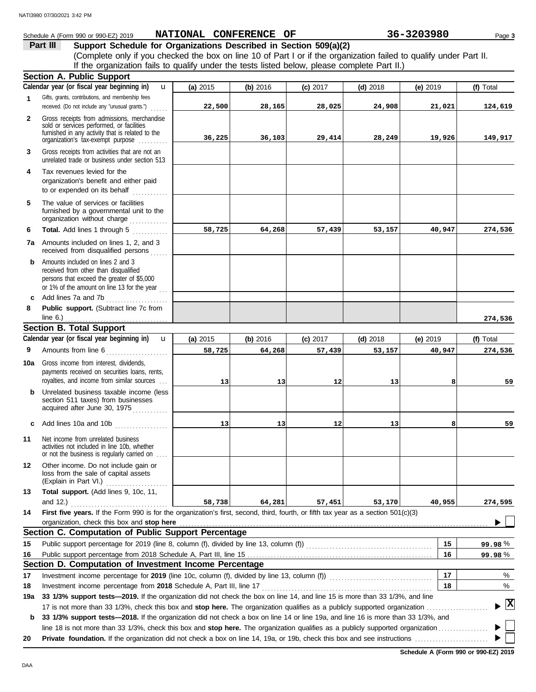#### **Section B. Total Support** unrelated trade or business under section 513 **Part III Support Schedule for Organizations Described in Section 509(a)(2)** (Complete only if you checked the box on line 10 of Part I or if the organization failed to qualify under Part II. **1 2 3 6 8** Schedule A (Form 990 or 990-EZ) 2019 Page **3 NATIONAL CONFERENCE OF 36-3203980** Gifts, grants, contributions, and membership fees received. (Do not include any "unusual grants.") . . . . . . **Public support.** (Subtract line 7c from Gross receipts from admissions, merchandise sold or services performed, or facilities furnished in any activity that is related to the Gross receipts from activities that are not an **Total.** Add lines 1 through 5 ............. **Section A. Public Support** organization's tax-exempt purpose ......... **4** Tax revenues levied for the organization's benefit and either paid to or expended on its behalf when  $\cdots$ organization without charge .............. furnished by a governmental unit to the **5** The value of services or facilities **7a** Amounts included on lines 1, 2, and 3 received from disqualified persons **b** Amounts included on lines 2 and 3 received from other than disqualified persons that exceed the greater of \$5,000 or 1% of the amount on line 13 for the year ... **c** Add lines 7a and 7b . . . . . . . . . . . . . . . . . . . . . **9 (a)** 2015 **(b)** 2016 **(c)** 2017 **(d)** 2018 **(e)** 2019 **(f)** Total **(f)** Total line 6.) . . . . . . . . . . . . . . . . . . . . . . . . . . . . . . . . . . . **Calendar year (or fiscal year beginning in) Calendar year (or fiscal year beginning in)**  If the organization fails to qualify under the tests listed below, please complete Part II.) **(a)** 2015 **(b)** 2016 **(c)** 2017 **(d)** 2018 **(e)** 2019 u u **22,500 28,165 28,025 24,908 21,021 124,619 36,225 36,103 29,414 28,249 19,926 149,917 58,725 64,268 57,439 53,157 40,947 274,536 274,536 58,725 64,268 57,439 53,157 40,947 274,536** NATI3980 07/30/2021 3:42 PM

| 9   | Amounts from line 6                                                                                                                                                              | 58,725 | 64,268          | 57,439 | 53,157 | 40,947 | 274,536 |
|-----|----------------------------------------------------------------------------------------------------------------------------------------------------------------------------------|--------|-----------------|--------|--------|--------|---------|
| 10a | Gross income from interest, dividends,<br>payments received on securities loans, rents,<br>royalties, and income from similar sources                                            | 13     | 13 <sup>1</sup> | 12     | 13     |        | 59      |
| b   | Unrelated business taxable income (less<br>section 511 taxes) from businesses<br>acquired after June 30, 1975                                                                    |        |                 |        |        |        |         |
| C   | Add lines 10a and 10b                                                                                                                                                            | 13     | 13 <sup>1</sup> | 12     | 13     |        | 59      |
| 11  | Net income from unrelated business<br>activities not included in line 10b, whether<br>or not the business is regularly carried on                                                |        |                 |        |        |        |         |
| 12  | Other income. Do not include gain or<br>loss from the sale of capital assets<br>(Explain in Part VI.)                                                                            |        |                 |        |        |        |         |
| 13  | Total support. (Add lines 9, 10c, 11,                                                                                                                                            |        |                 |        |        |        |         |
|     | and $12.$ )                                                                                                                                                                      | 58,738 | 64,281          | 57,451 | 53,170 | 40,955 | 274,595 |
| 14  | First five years. If the Form 990 is for the organization's first, second, third, fourth, or fifth tax year as a section 501(c)(3)<br>organization, check this box and stop here |        |                 |        |        |        |         |
|     | Section C. Computation of Public Support Percentage                                                                                                                              |        |                 |        |        |        |         |
| 15  |                                                                                                                                                                                  |        |                 |        |        | 15     | 99.98%  |
| 16  |                                                                                                                                                                                  |        |                 |        |        | 16     | 99.98%  |
|     | Section D. Computation of Investment Income Percentage                                                                                                                           |        |                 |        |        |        |         |
| 17  | Investment income percentage for 2019 (line 10c, column (f), divided by line 13, column (f))                                                                                     |        |                 |        |        |        | %       |
| 18  | Investment income percentage from 2018 Schedule A. Part III. line 17                                                                                                             |        |                 |        |        |        | $\%$    |

**18** Investment income percentage from **2018** Schedule A, Part III, line 17 . . . . . . . . . . . . . . . . . . . . . . . . . . . . . . . . . . . . . . . . . . . . . . . . . . . . . . . . . . **18**

17 is not more than 33 1/3%, check this box and **stop here.** The organization qualifies as a publicly supported organization . . . . . . . . . . . . . . . . . . . . . **19a 33 1/3% support tests—2019.** If the organization did not check the box on line 14, and line 15 is more than 33 1/3%, and line

**b 33 1/3% support tests—2018.** If the organization did not check a box on line 14 or line 19a, and line 16 is more than 33 1/3%, and line 18 is not more than 33 1/3%, check this box and **stop here.** The organization qualifies as a publicly supported organization . . . . . . . . . . . . . . . . .

**20 Private foundation.** If the organization did not check a box on line 14, 19a, or 19b, check this box and see instructions . . . . . . . . . . . . . . . . . . . . . . . . .

**X**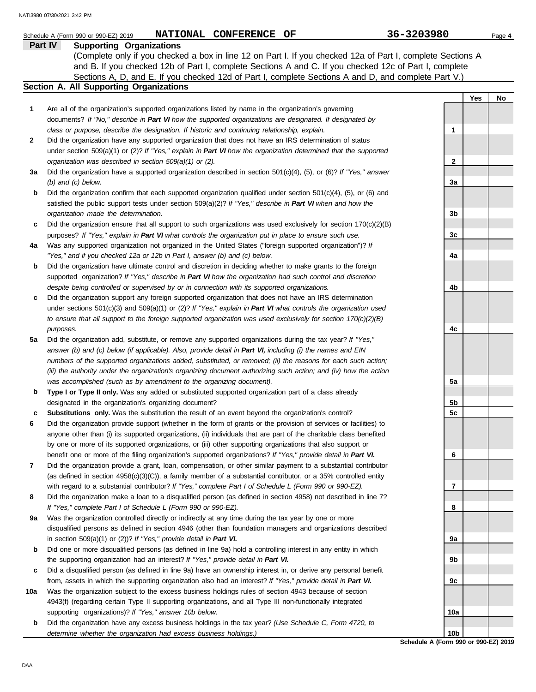|     | NATIONAL CONFERENCE OF<br>Schedule A (Form 990 or 990-EZ) 2019                                                                                                                   | 36-3203980                           | Page 4    |
|-----|----------------------------------------------------------------------------------------------------------------------------------------------------------------------------------|--------------------------------------|-----------|
|     | Part IV<br><b>Supporting Organizations</b>                                                                                                                                       |                                      |           |
|     | (Complete only if you checked a box in line 12 on Part I. If you checked 12a of Part I, complete Sections A                                                                      |                                      |           |
|     | and B. If you checked 12b of Part I, complete Sections A and C. If you checked 12c of Part I, complete                                                                           |                                      |           |
|     | Sections A, D, and E. If you checked 12d of Part I, complete Sections A and D, and complete Part V.)                                                                             |                                      |           |
|     | Section A. All Supporting Organizations                                                                                                                                          |                                      |           |
|     |                                                                                                                                                                                  |                                      | Yes<br>No |
| 1   | Are all of the organization's supported organizations listed by name in the organization's governing                                                                             |                                      |           |
|     | documents? If "No," describe in Part VI how the supported organizations are designated. If designated by                                                                         |                                      |           |
|     | class or purpose, describe the designation. If historic and continuing relationship, explain.                                                                                    | 1                                    |           |
| 2   | Did the organization have any supported organization that does not have an IRS determination of status                                                                           |                                      |           |
|     | under section 509(a)(1) or (2)? If "Yes," explain in Part VI how the organization determined that the supported                                                                  |                                      |           |
|     | organization was described in section 509(a)(1) or (2).                                                                                                                          | $\mathbf{2}$                         |           |
| За  | Did the organization have a supported organization described in section $501(c)(4)$ , (5), or (6)? If "Yes," answer                                                              |                                      |           |
|     | $(b)$ and $(c)$ below.                                                                                                                                                           | За                                   |           |
| b   | Did the organization confirm that each supported organization qualified under section $501(c)(4)$ , $(5)$ , or $(6)$ and                                                         |                                      |           |
|     | satisfied the public support tests under section 509(a)(2)? If "Yes," describe in Part VI when and how the                                                                       |                                      |           |
|     | organization made the determination.                                                                                                                                             | 3b                                   |           |
| c   | Did the organization ensure that all support to such organizations was used exclusively for section $170(c)(2)(B)$                                                               |                                      |           |
|     | purposes? If "Yes," explain in Part VI what controls the organization put in place to ensure such use.                                                                           | 3c                                   |           |
| 4a  | Was any supported organization not organized in the United States ("foreign supported organization")? If                                                                         |                                      |           |
|     | "Yes," and if you checked 12a or 12b in Part I, answer (b) and (c) below.                                                                                                        | 4a                                   |           |
| b   | Did the organization have ultimate control and discretion in deciding whether to make grants to the foreign                                                                      |                                      |           |
|     | supported organization? If "Yes," describe in Part VI how the organization had such control and discretion                                                                       |                                      |           |
|     | despite being controlled or supervised by or in connection with its supported organizations.                                                                                     | 4b                                   |           |
| c   | Did the organization support any foreign supported organization that does not have an IRS determination                                                                          |                                      |           |
|     | under sections $501(c)(3)$ and $509(a)(1)$ or (2)? If "Yes," explain in Part VI what controls the organization used                                                              |                                      |           |
|     | to ensure that all support to the foreign supported organization was used exclusively for section $170(c)(2)(B)$                                                                 |                                      |           |
|     | purposes.                                                                                                                                                                        | 4c                                   |           |
| 5a  | Did the organization add, substitute, or remove any supported organizations during the tax year? If "Yes,"                                                                       |                                      |           |
|     | answer (b) and (c) below (if applicable). Also, provide detail in Part VI, including (i) the names and EIN                                                                       |                                      |           |
|     | numbers of the supported organizations added, substituted, or removed; (ii) the reasons for each such action;                                                                    |                                      |           |
|     | (iii) the authority under the organization's organizing document authorizing such action; and (iv) how the action                                                                |                                      |           |
|     | was accomplished (such as by amendment to the organizing document).                                                                                                              | 5a                                   |           |
| b   | Type I or Type II only. Was any added or substituted supported organization part of a class already                                                                              |                                      |           |
|     | designated in the organization's organizing document?                                                                                                                            | 5b                                   |           |
| c   | Substitutions only. Was the substitution the result of an event beyond the organization's control?                                                                               | 5c                                   |           |
| 6   | Did the organization provide support (whether in the form of grants or the provision of services or facilities) to                                                               |                                      |           |
|     | anyone other than (i) its supported organizations, (ii) individuals that are part of the charitable class benefited                                                              |                                      |           |
|     | by one or more of its supported organizations, or (iii) other supporting organizations that also support or                                                                      |                                      |           |
|     | benefit one or more of the filing organization's supported organizations? If "Yes," provide detail in Part VI.                                                                   | 6                                    |           |
| 7   | Did the organization provide a grant, loan, compensation, or other similar payment to a substantial contributor                                                                  |                                      |           |
|     | (as defined in section 4958(c)(3)(C)), a family member of a substantial contributor, or a 35% controlled entity                                                                  |                                      |           |
| 8   | with regard to a substantial contributor? If "Yes," complete Part I of Schedule L (Form 990 or 990-EZ).                                                                          | 7                                    |           |
|     | Did the organization make a loan to a disqualified person (as defined in section 4958) not described in line 7?<br>If "Yes," complete Part I of Schedule L (Form 990 or 990-EZ). | 8                                    |           |
| 9a  | Was the organization controlled directly or indirectly at any time during the tax year by one or more                                                                            |                                      |           |
|     | disqualified persons as defined in section 4946 (other than foundation managers and organizations described                                                                      |                                      |           |
|     | in section $509(a)(1)$ or (2))? If "Yes," provide detail in Part VI.                                                                                                             | 9a                                   |           |
| b   | Did one or more disqualified persons (as defined in line 9a) hold a controlling interest in any entity in which                                                                  |                                      |           |
|     | the supporting organization had an interest? If "Yes," provide detail in Part VI.                                                                                                | 9b                                   |           |
| c   | Did a disqualified person (as defined in line 9a) have an ownership interest in, or derive any personal benefit                                                                  |                                      |           |
|     | from, assets in which the supporting organization also had an interest? If "Yes," provide detail in Part VI.                                                                     | 9c                                   |           |
| 10a | Was the organization subject to the excess business holdings rules of section 4943 because of section                                                                            |                                      |           |
|     | 4943(f) (regarding certain Type II supporting organizations, and all Type III non-functionally integrated                                                                        |                                      |           |
|     | supporting organizations)? If "Yes," answer 10b below.                                                                                                                           | 10a                                  |           |
| b   | Did the organization have any excess business holdings in the tax year? (Use Schedule C, Form 4720, to                                                                           |                                      |           |
|     | determine whether the organization had excess business holdings.)                                                                                                                | 10 <sub>b</sub>                      |           |
|     |                                                                                                                                                                                  | Schedule A (Form 990 or 990-EZ) 2019 |           |

DAA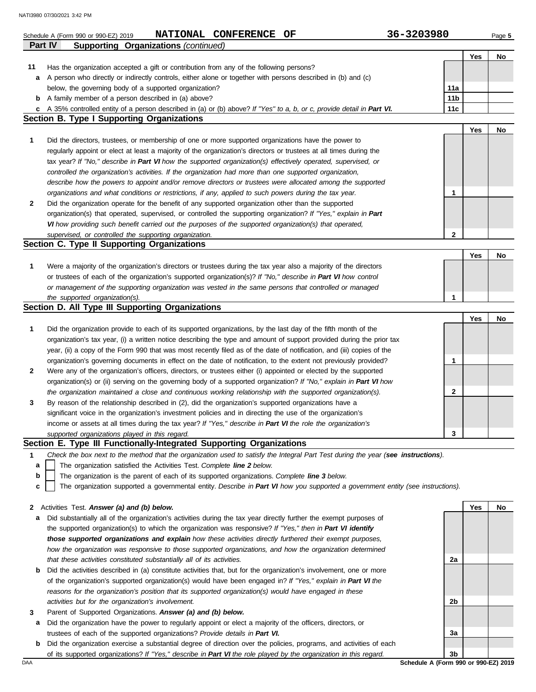|                | NATIONAL CONFERENCE OF<br>Schedule A (Form 990 or 990-EZ) 2019                                                                                                                                                             | 36-3203980      |     | Page 5 |
|----------------|----------------------------------------------------------------------------------------------------------------------------------------------------------------------------------------------------------------------------|-----------------|-----|--------|
| <b>Part IV</b> | <b>Supporting Organizations (continued)</b>                                                                                                                                                                                |                 |     |        |
|                |                                                                                                                                                                                                                            |                 | Yes | No     |
| 11             | Has the organization accepted a gift or contribution from any of the following persons?                                                                                                                                    |                 |     |        |
|                | a A person who directly or indirectly controls, either alone or together with persons described in (b) and (c)                                                                                                             |                 |     |        |
|                | below, the governing body of a supported organization?                                                                                                                                                                     | 11a             |     |        |
|                | <b>b</b> A family member of a person described in (a) above?                                                                                                                                                               | 11 <sub>b</sub> |     |        |
|                | c A 35% controlled entity of a person described in (a) or (b) above? If "Yes" to a, b, or c, provide detail in Part VI.                                                                                                    | 11c             |     |        |
|                | <b>Section B. Type I Supporting Organizations</b>                                                                                                                                                                          |                 |     |        |
|                |                                                                                                                                                                                                                            |                 | Yes | No     |
| 1              | Did the directors, trustees, or membership of one or more supported organizations have the power to                                                                                                                        |                 |     |        |
|                | regularly appoint or elect at least a majority of the organization's directors or trustees at all times during the                                                                                                         |                 |     |        |
|                | tax year? If "No," describe in Part VI how the supported organization(s) effectively operated, supervised, or<br>controlled the organization's activities. If the organization had more than one supported organization,   |                 |     |        |
|                | describe how the powers to appoint and/or remove directors or trustees were allocated among the supported                                                                                                                  |                 |     |        |
|                | organizations and what conditions or restrictions, if any, applied to such powers during the tax year.                                                                                                                     | 1               |     |        |
| 2              | Did the organization operate for the benefit of any supported organization other than the supported                                                                                                                        |                 |     |        |
|                | organization(s) that operated, supervised, or controlled the supporting organization? If "Yes," explain in Part                                                                                                            |                 |     |        |
|                | VI how providing such benefit carried out the purposes of the supported organization(s) that operated,                                                                                                                     |                 |     |        |
|                | supervised, or controlled the supporting organization.                                                                                                                                                                     | $\mathbf 2$     |     |        |
|                | Section C. Type II Supporting Organizations                                                                                                                                                                                |                 |     |        |
|                |                                                                                                                                                                                                                            |                 | Yes | No     |
| 1              | Were a majority of the organization's directors or trustees during the tax year also a majority of the directors                                                                                                           |                 |     |        |
|                | or trustees of each of the organization's supported organization(s)? If "No," describe in Part VI how control                                                                                                              |                 |     |        |
|                | or management of the supporting organization was vested in the same persons that controlled or managed                                                                                                                     |                 |     |        |
|                | the supported organization(s).                                                                                                                                                                                             | 1               |     |        |
|                | Section D. All Type III Supporting Organizations                                                                                                                                                                           |                 |     |        |
|                |                                                                                                                                                                                                                            |                 | Yes | No     |
| 1              | Did the organization provide to each of its supported organizations, by the last day of the fifth month of the                                                                                                             |                 |     |        |
|                | organization's tax year, (i) a written notice describing the type and amount of support provided during the prior tax                                                                                                      |                 |     |        |
|                | year, (ii) a copy of the Form 990 that was most recently filed as of the date of notification, and (iii) copies of the                                                                                                     |                 |     |        |
|                | organization's governing documents in effect on the date of notification, to the extent not previously provided?                                                                                                           | 1               |     |        |
| 2              | Were any of the organization's officers, directors, or trustees either (i) appointed or elected by the supported                                                                                                           |                 |     |        |
|                | organization(s) or (ii) serving on the governing body of a supported organization? If "No," explain in Part VI how                                                                                                         |                 |     |        |
|                | the organization maintained a close and continuous working relationship with the supported organization(s).                                                                                                                | 2               |     |        |
| 3              | By reason of the relationship described in (2), did the organization's supported organizations have a                                                                                                                      |                 |     |        |
|                | significant voice in the organization's investment policies and in directing the use of the organization's<br>income or assets at all times during the tax year? If "Yes," describe in Part VI the role the organization's |                 |     |        |
|                | supported organizations played in this regard.                                                                                                                                                                             | 3               |     |        |
|                | Section E. Type III Functionally-Integrated Supporting Organizations                                                                                                                                                       |                 |     |        |
| 1              | Check the box next to the method that the organization used to satisfy the Integral Part Test during the year (see instructions).                                                                                          |                 |     |        |
| a              | The organization satisfied the Activities Test. Complete line 2 below.                                                                                                                                                     |                 |     |        |
| b              | The organization is the parent of each of its supported organizations. Complete line 3 below.                                                                                                                              |                 |     |        |
| C              | The organization supported a governmental entity. Describe in Part VI how you supported a government entity (see instructions).                                                                                            |                 |     |        |
|                |                                                                                                                                                                                                                            |                 |     |        |
| 2              | Activities Test. Answer (a) and (b) below.                                                                                                                                                                                 |                 | Yes | No     |
| а              | Did substantially all of the organization's activities during the tax year directly further the exempt purposes of                                                                                                         |                 |     |        |
|                | the supported organization(s) to which the organization was responsive? If "Yes," then in Part VI identify                                                                                                                 |                 |     |        |
|                | those supported organizations and explain how these activities directly furthered their exempt purposes,                                                                                                                   |                 |     |        |
|                | how the organization was responsive to those supported organizations, and how the organization determined                                                                                                                  |                 |     |        |
|                | that these activities constituted substantially all of its activities.                                                                                                                                                     | 2a              |     |        |
| b              | Did the activities described in (a) constitute activities that, but for the organization's involvement, one or more                                                                                                        |                 |     |        |
|                | of the organization's supported organization(s) would have been engaged in? If "Yes," explain in Part VI the                                                                                                               |                 |     |        |
|                | reasons for the organization's position that its supported organization(s) would have engaged in these                                                                                                                     |                 |     |        |
|                | activities but for the organization's involvement.                                                                                                                                                                         | 2b              |     |        |
| 3              | Parent of Supported Organizations. Answer (a) and (b) below.                                                                                                                                                               |                 |     |        |
| а              | Did the organization have the power to regularly appoint or elect a majority of the officers, directors, or                                                                                                                |                 |     |        |
|                | trustees of each of the supported organizations? Provide details in Part VI.                                                                                                                                               | 3a              |     |        |

**b** Did the organization exercise a substantial degree of direction over the policies, programs, and activities of each of its supported organizations? *If "Yes," describe in Part VI the role played by the organization in this regard.*

DAA **Schedule A (Form 990 or 990-EZ) 2019 3b**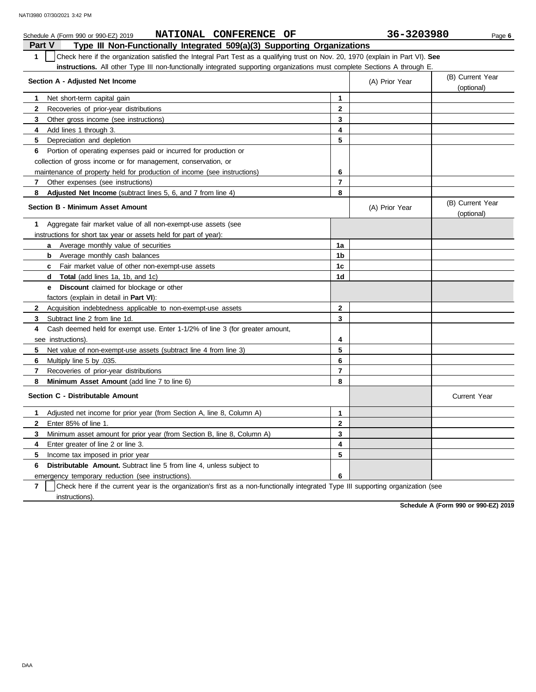| NATIONAL CONFERENCE OF<br>Schedule A (Form 990 or 990-EZ) 2019                                                                                   |                | 36-3203980     | Page 6                         |
|--------------------------------------------------------------------------------------------------------------------------------------------------|----------------|----------------|--------------------------------|
| Type III Non-Functionally Integrated 509(a)(3) Supporting Organizations<br><b>Part V</b>                                                         |                |                |                                |
| Check here if the organization satisfied the Integral Part Test as a qualifying trust on Nov. 20, 1970 (explain in Part VI). See<br>$\mathbf{1}$ |                |                |                                |
| instructions. All other Type III non-functionally integrated supporting organizations must complete Sections A through E.                        |                |                |                                |
| Section A - Adjusted Net Income                                                                                                                  |                | (A) Prior Year | (B) Current Year<br>(optional) |
| Net short-term capital gain<br>1                                                                                                                 | 1              |                |                                |
| $\mathbf{2}$<br>Recoveries of prior-year distributions                                                                                           | $\mathbf{2}$   |                |                                |
| 3<br>Other gross income (see instructions)                                                                                                       | 3              |                |                                |
| Add lines 1 through 3.<br>4                                                                                                                      | 4              |                |                                |
| 5<br>Depreciation and depletion                                                                                                                  | 5              |                |                                |
| Portion of operating expenses paid or incurred for production or<br>6                                                                            |                |                |                                |
| collection of gross income or for management, conservation, or                                                                                   |                |                |                                |
| maintenance of property held for production of income (see instructions)                                                                         | 6              |                |                                |
| 7<br>Other expenses (see instructions)                                                                                                           | $\overline{7}$ |                |                                |
| 8<br><b>Adjusted Net Income</b> (subtract lines 5, 6, and 7 from line 4)                                                                         | 8              |                |                                |
| <b>Section B - Minimum Asset Amount</b>                                                                                                          |                | (A) Prior Year | (B) Current Year<br>(optional) |
| Aggregate fair market value of all non-exempt-use assets (see<br>1                                                                               |                |                |                                |
| instructions for short tax year or assets held for part of year):                                                                                |                |                |                                |
| <b>a</b> Average monthly value of securities                                                                                                     | 1a             |                |                                |
| <b>b</b> Average monthly cash balances                                                                                                           | 1b             |                |                                |
| Fair market value of other non-exempt-use assets<br>C                                                                                            | 1c             |                |                                |
| Total (add lines 1a, 1b, and 1c)<br>d                                                                                                            | 1d             |                |                                |
| <b>Discount</b> claimed for blockage or other<br>е                                                                                               |                |                |                                |
| factors (explain in detail in <b>Part VI</b> ):                                                                                                  |                |                |                                |
| $\mathbf{2}$<br>Acquisition indebtedness applicable to non-exempt-use assets                                                                     | $\mathbf{2}$   |                |                                |
| Subtract line 2 from line 1d.<br>3                                                                                                               | 3              |                |                                |
| Cash deemed held for exempt use. Enter 1-1/2% of line 3 (for greater amount,<br>4                                                                |                |                |                                |
| see instructions)                                                                                                                                | 4              |                |                                |
| 5<br>Net value of non-exempt-use assets (subtract line 4 from line 3)                                                                            | 5              |                |                                |
| 6<br>Multiply line 5 by .035.                                                                                                                    | 6              |                |                                |
| 7<br>Recoveries of prior-year distributions                                                                                                      | $\overline{7}$ |                |                                |
| 8<br>Minimum Asset Amount (add line 7 to line 6)                                                                                                 | 8              |                |                                |
| Section C - Distributable Amount                                                                                                                 |                |                | <b>Current Year</b>            |
| Adjusted net income for prior year (from Section A, line 8, Column A)<br>1                                                                       | 1              |                |                                |
| $\mathbf{2}$<br>Enter 85% of line 1.                                                                                                             | $\mathbf{2}$   |                |                                |
| 3<br>Minimum asset amount for prior year (from Section B, line 8, Column A)                                                                      | 3              |                |                                |
| 4<br>Enter greater of line 2 or line 3.                                                                                                          | 4              |                |                                |
| 5<br>Income tax imposed in prior year                                                                                                            | 5              |                |                                |
| <b>Distributable Amount.</b> Subtract line 5 from line 4, unless subject to<br>6                                                                 |                |                |                                |
| emergency temporary reduction (see instructions).                                                                                                | 6              |                |                                |

**7** instructions). Check here if the current year is the organization's first as a non-functionally integrated Type III supporting organization (see

**Schedule A (Form 990 or 990-EZ) 2019**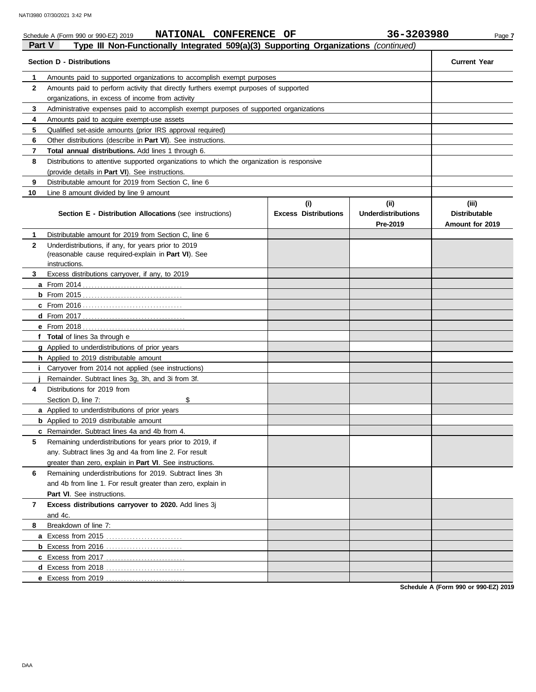|               | NATIONAL CONFERENCE OF<br>Schedule A (Form 990 or 990-EZ) 2019                             |                             | 36-3203980                | Page 7               |
|---------------|--------------------------------------------------------------------------------------------|-----------------------------|---------------------------|----------------------|
| <b>Part V</b> | Type III Non-Functionally Integrated 509(a)(3) Supporting Organizations (continued)        |                             |                           |                      |
|               | <b>Section D - Distributions</b>                                                           |                             |                           | <b>Current Year</b>  |
| 1             | Amounts paid to supported organizations to accomplish exempt purposes                      |                             |                           |                      |
| $\mathbf{2}$  | Amounts paid to perform activity that directly furthers exempt purposes of supported       |                             |                           |                      |
|               | organizations, in excess of income from activity                                           |                             |                           |                      |
| 3             | Administrative expenses paid to accomplish exempt purposes of supported organizations      |                             |                           |                      |
| 4             | Amounts paid to acquire exempt-use assets                                                  |                             |                           |                      |
| 5             | Qualified set-aside amounts (prior IRS approval required)                                  |                             |                           |                      |
| 6             | Other distributions (describe in <b>Part VI</b> ). See instructions.                       |                             |                           |                      |
| 7             | Total annual distributions. Add lines 1 through 6.                                         |                             |                           |                      |
| 8             | Distributions to attentive supported organizations to which the organization is responsive |                             |                           |                      |
|               | (provide details in <b>Part VI</b> ). See instructions.                                    |                             |                           |                      |
| 9             | Distributable amount for 2019 from Section C, line 6                                       |                             |                           |                      |
| 10            | Line 8 amount divided by line 9 amount                                                     |                             |                           |                      |
|               |                                                                                            | (i)                         | (iii)                     | (iii)                |
|               | <b>Section E - Distribution Allocations (see instructions)</b>                             | <b>Excess Distributions</b> | <b>Underdistributions</b> | <b>Distributable</b> |
|               |                                                                                            |                             | Pre-2019                  | Amount for 2019      |
| 1             | Distributable amount for 2019 from Section C, line 6                                       |                             |                           |                      |
| $\mathbf{2}$  | Underdistributions, if any, for years prior to 2019                                        |                             |                           |                      |
|               | (reasonable cause required-explain in Part VI). See                                        |                             |                           |                      |
|               | instructions.                                                                              |                             |                           |                      |
| 3             | Excess distributions carryover, if any, to 2019                                            |                             |                           |                      |
|               |                                                                                            |                             |                           |                      |
|               |                                                                                            |                             |                           |                      |
|               |                                                                                            |                             |                           |                      |
|               |                                                                                            |                             |                           |                      |
|               |                                                                                            |                             |                           |                      |
|               | f Total of lines 3a through e                                                              |                             |                           |                      |
|               | <b>g</b> Applied to underdistributions of prior years                                      |                             |                           |                      |
|               | <b>h</b> Applied to 2019 distributable amount                                              |                             |                           |                      |
| Ť.            | Carryover from 2014 not applied (see instructions)                                         |                             |                           |                      |
|               | Remainder. Subtract lines 3g, 3h, and 3i from 3f.                                          |                             |                           |                      |
| 4             | Distributions for 2019 from                                                                |                             |                           |                      |
|               | \$<br>Section D. line 7:                                                                   |                             |                           |                      |
|               | a Applied to underdistributions of prior years                                             |                             |                           |                      |
|               | <b>b</b> Applied to 2019 distributable amount                                              |                             |                           |                      |
|               | c Remainder. Subtract lines 4a and 4b from 4.                                              |                             |                           |                      |
| 5             | Remaining underdistributions for years prior to 2019, if                                   |                             |                           |                      |
|               | any. Subtract lines 3g and 4a from line 2. For result                                      |                             |                           |                      |
|               | greater than zero, explain in Part VI. See instructions.                                   |                             |                           |                      |
| 6             | Remaining underdistributions for 2019. Subtract lines 3h                                   |                             |                           |                      |
|               | and 4b from line 1. For result greater than zero, explain in                               |                             |                           |                      |
|               | Part VI. See instructions.                                                                 |                             |                           |                      |
| 7             | Excess distributions carryover to 2020. Add lines 3j                                       |                             |                           |                      |
|               | and 4c.                                                                                    |                             |                           |                      |
| 8             | Breakdown of line 7:                                                                       |                             |                           |                      |
|               |                                                                                            |                             |                           |                      |
|               |                                                                                            |                             |                           |                      |
|               |                                                                                            |                             |                           |                      |

**Schedule A (Form 990 or 990-EZ) 2019**

**d** Excess from 2018 . . . . . . . . . . . . . . . . . . . . . . . . . . . **e** Excess from 2019 . . . . . . . . . . . . . . . . . . . . . . . . . . .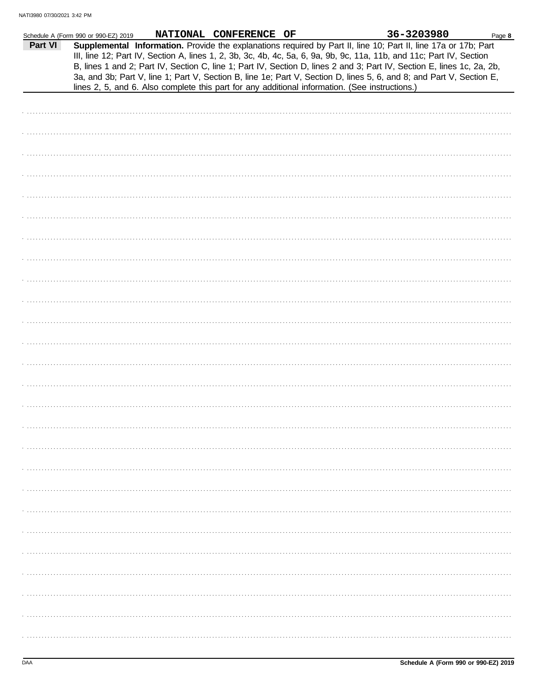|         | Schedule A (Form 990 or 990-EZ) 2019 | NATIONAL CONFERENCE OF | 36-3203980                                                                                                                                                                                                                                                                                                                                                                                                                                                                                | Page 8 |
|---------|--------------------------------------|------------------------|-------------------------------------------------------------------------------------------------------------------------------------------------------------------------------------------------------------------------------------------------------------------------------------------------------------------------------------------------------------------------------------------------------------------------------------------------------------------------------------------|--------|
| Part VI |                                      |                        | Supplemental Information. Provide the explanations required by Part II, line 10; Part II, line 17a or 17b; Part<br>III, line 12; Part IV, Section A, lines 1, 2, 3b, 3c, 4b, 4c, 5a, 6, 9a, 9b, 9c, 11a, 11b, and 11c; Part IV, Section<br>B, lines 1 and 2; Part IV, Section C, line 1; Part IV, Section D, lines 2 and 3; Part IV, Section E, lines 1c, 2a, 2b,<br>3a, and 3b; Part V, line 1; Part V, Section B, line 1e; Part V, Section D, lines 5, 6, and 8; and Part V, Section E, |        |
|         |                                      |                        | lines 2, 5, and 6. Also complete this part for any additional information. (See instructions.)                                                                                                                                                                                                                                                                                                                                                                                            |        |
|         |                                      |                        |                                                                                                                                                                                                                                                                                                                                                                                                                                                                                           |        |
|         |                                      |                        |                                                                                                                                                                                                                                                                                                                                                                                                                                                                                           |        |
|         |                                      |                        |                                                                                                                                                                                                                                                                                                                                                                                                                                                                                           |        |
|         |                                      |                        |                                                                                                                                                                                                                                                                                                                                                                                                                                                                                           |        |
|         |                                      |                        |                                                                                                                                                                                                                                                                                                                                                                                                                                                                                           |        |
|         |                                      |                        |                                                                                                                                                                                                                                                                                                                                                                                                                                                                                           |        |
|         |                                      |                        |                                                                                                                                                                                                                                                                                                                                                                                                                                                                                           |        |
|         |                                      |                        |                                                                                                                                                                                                                                                                                                                                                                                                                                                                                           |        |
|         |                                      |                        |                                                                                                                                                                                                                                                                                                                                                                                                                                                                                           |        |
|         |                                      |                        |                                                                                                                                                                                                                                                                                                                                                                                                                                                                                           |        |
|         |                                      |                        |                                                                                                                                                                                                                                                                                                                                                                                                                                                                                           |        |
|         |                                      |                        |                                                                                                                                                                                                                                                                                                                                                                                                                                                                                           |        |
|         |                                      |                        |                                                                                                                                                                                                                                                                                                                                                                                                                                                                                           |        |
|         |                                      |                        |                                                                                                                                                                                                                                                                                                                                                                                                                                                                                           |        |
|         |                                      |                        |                                                                                                                                                                                                                                                                                                                                                                                                                                                                                           |        |
|         |                                      |                        |                                                                                                                                                                                                                                                                                                                                                                                                                                                                                           |        |
|         |                                      |                        |                                                                                                                                                                                                                                                                                                                                                                                                                                                                                           |        |
|         |                                      |                        |                                                                                                                                                                                                                                                                                                                                                                                                                                                                                           |        |
|         |                                      |                        |                                                                                                                                                                                                                                                                                                                                                                                                                                                                                           |        |
|         |                                      |                        |                                                                                                                                                                                                                                                                                                                                                                                                                                                                                           |        |
|         |                                      |                        |                                                                                                                                                                                                                                                                                                                                                                                                                                                                                           |        |
|         |                                      |                        |                                                                                                                                                                                                                                                                                                                                                                                                                                                                                           |        |
|         |                                      |                        |                                                                                                                                                                                                                                                                                                                                                                                                                                                                                           |        |
|         |                                      |                        |                                                                                                                                                                                                                                                                                                                                                                                                                                                                                           |        |
|         |                                      |                        |                                                                                                                                                                                                                                                                                                                                                                                                                                                                                           |        |
|         |                                      |                        |                                                                                                                                                                                                                                                                                                                                                                                                                                                                                           |        |
|         |                                      |                        |                                                                                                                                                                                                                                                                                                                                                                                                                                                                                           |        |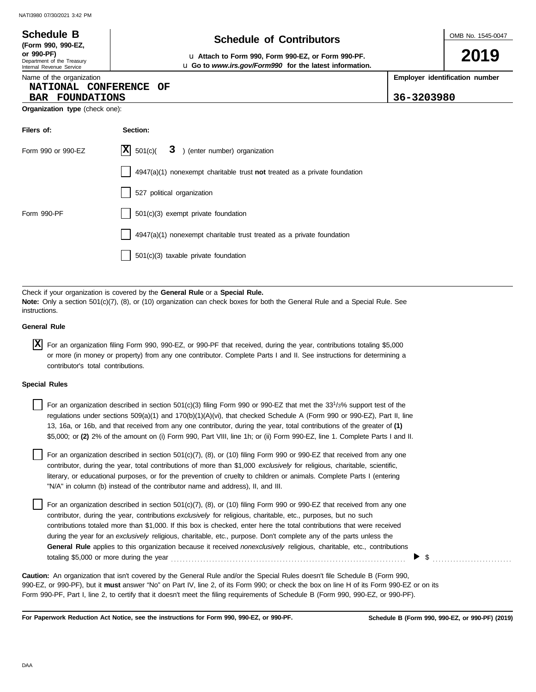### OMB No. 1545-0047 Department of the Treasury Internal Revenue Service Name of the organization **2019 Schedule of Contributors Schedule B (Form 990, 990-EZ, or 990-PF)** u **Attach to Form 990, Form 990-EZ, or Form 990-PF. Employer identification number Organization type** (check one): **Filers of: Section:** Form 990 or 990-EZ  $|\mathbf{X}|$  501(c)( 3) (enter number) organization 4947(a)(1) nonexempt charitable trust **not** treated as a private foundation u **Go to** *www.irs.gov/Form990* **for the latest information. NATIONAL CONFERENCE OF BAR FOUNDATIONS 36-3203980**  $X \ 501(c)$

Check if your organization is covered by the **General Rule** or a **Special Rule. Note:** Only a section 501(c)(7), (8), or (10) organization can check boxes for both the General Rule and a Special Rule. See instructions.

4947(a)(1) nonexempt charitable trust treated as a private foundation

527 political organization

501(c)(3) taxable private foundation

Form 990-PF 1501(c)(3) exempt private foundation

## **General Rule**

For an organization filing Form 990, 990-EZ, or 990-PF that received, during the year, contributions totaling \$5,000 **X** or more (in money or property) from any one contributor. Complete Parts I and II. See instructions for determining a contributor's total contributions.

### **Special Rules**

For an organization described in section 501(c)(3) filing Form 990 or 990-EZ that met the 33<sup>1</sup>/3% support test of the regulations under sections 509(a)(1) and 170(b)(1)(A)(vi), that checked Schedule A (Form 990 or 990-EZ), Part II, line 13, 16a, or 16b, and that received from any one contributor, during the year, total contributions of the greater of **(1)** \$5,000; or **(2)** 2% of the amount on (i) Form 990, Part VIII, line 1h; or (ii) Form 990-EZ, line 1. Complete Parts I and II.

literary, or educational purposes, or for the prevention of cruelty to children or animals. Complete Parts I (entering For an organization described in section 501(c)(7), (8), or (10) filing Form 990 or 990-EZ that received from any one contributor, during the year, total contributions of more than \$1,000 *exclusively* for religious, charitable, scientific, "N/A" in column (b) instead of the contributor name and address), II, and III.

For an organization described in section 501(c)(7), (8), or (10) filing Form 990 or 990-EZ that received from any one contributor, during the year, contributions *exclusively* for religious, charitable, etc., purposes, but no such contributions totaled more than \$1,000. If this box is checked, enter here the total contributions that were received during the year for an *exclusively* religious, charitable, etc., purpose. Don't complete any of the parts unless the **General Rule** applies to this organization because it received *nonexclusively* religious, charitable, etc., contributions totaling \$5,000 or more during the year . . . . . . . . . . . . . . . . . . . . . . . . . . . . . . . . . . . . . . . . . . . . . . . . . . . . . . . . . . . . . . . . . . . . . . . . . . . . . . . .

990-EZ, or 990-PF), but it **must** answer "No" on Part IV, line 2, of its Form 990; or check the box on line H of its Form 990-EZ or on its Form 990-PF, Part I, line 2, to certify that it doesn't meet the filing requirements of Schedule B (Form 990, 990-EZ, or 990-PF). **Caution:** An organization that isn't covered by the General Rule and/or the Special Rules doesn't file Schedule B (Form 990,

**For Paperwork Reduction Act Notice, see the instructions for Form 990, 990-EZ, or 990-PF.**

 $\triangleright$  \$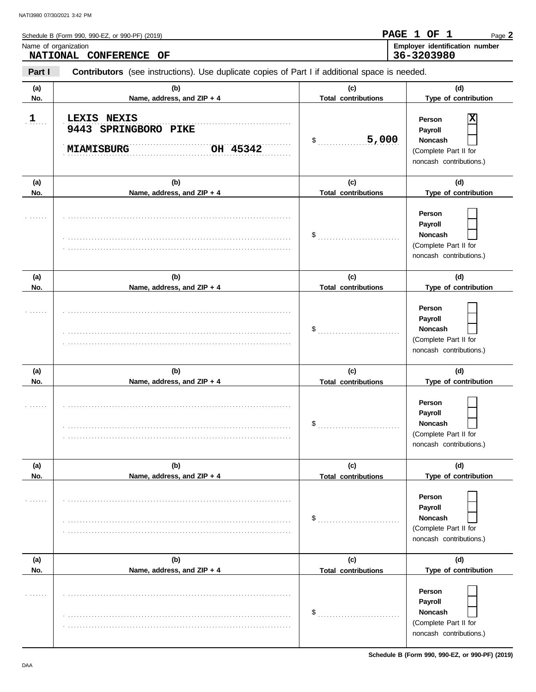|            | Schedule B (Form 990, 990-EZ, or 990-PF) (2019)                                                |                                   | PAGE 1 OF 1<br>Page 2                                                                   |
|------------|------------------------------------------------------------------------------------------------|-----------------------------------|-----------------------------------------------------------------------------------------|
|            | Name of organization<br>NATIONAL CONFERENCE OF                                                 |                                   | Employer identification number<br>36-3203980                                            |
| Part I     | Contributors (see instructions). Use duplicate copies of Part I if additional space is needed. |                                   |                                                                                         |
| (a)<br>No. | (b)<br>Name, address, and ZIP + 4                                                              | (c)<br><b>Total contributions</b> | (d)<br>Type of contribution                                                             |
| 1          | LEXIS NEXIS<br>9443 SPRINGBORO PIKE<br>OH 45342<br><b>MIAMISBURG</b>                           | 5,000<br>\$                       | Person<br>Payroll<br><b>Noncash</b><br>(Complete Part II for<br>noncash contributions.) |
| (a)        | (b)                                                                                            | (c)                               | (d)                                                                                     |
| No.        | Name, address, and ZIP + 4                                                                     | <b>Total contributions</b>        | Type of contribution                                                                    |
|            |                                                                                                | \$                                | Person<br>Payroll<br><b>Noncash</b><br>(Complete Part II for<br>noncash contributions.) |
| (a)        | (b)                                                                                            | (c)                               | (d)                                                                                     |
| No.        | Name, address, and ZIP + 4                                                                     | <b>Total contributions</b>        | Type of contribution                                                                    |
|            |                                                                                                | \$                                | Person<br>Payroll<br><b>Noncash</b><br>(Complete Part II for<br>noncash contributions.) |
| (a)<br>No. | (b)<br>Name, address, and ZIP + 4                                                              | (c)<br><b>Total contributions</b> | (d)<br>Type of contribution                                                             |
|            |                                                                                                | \$                                | Person<br>Payroll<br><b>Noncash</b><br>(Complete Part II for<br>noncash contributions.) |
| (a)<br>No. | (b)<br>Name, address, and ZIP + 4                                                              | (c)<br><b>Total contributions</b> | (d)<br>Type of contribution                                                             |
| .          |                                                                                                | \$                                | Person<br>Payroll<br><b>Noncash</b><br>(Complete Part II for<br>noncash contributions.) |
| (a)        | (b)                                                                                            | (c)                               | (d)                                                                                     |
| No.        | Name, address, and ZIP + 4                                                                     | <b>Total contributions</b>        | Type of contribution                                                                    |
| .          |                                                                                                | \$                                | Person<br>Payroll<br><b>Noncash</b><br>(Complete Part II for<br>noncash contributions.) |

**Schedule B (Form 990, 990-EZ, or 990-PF) (2019)**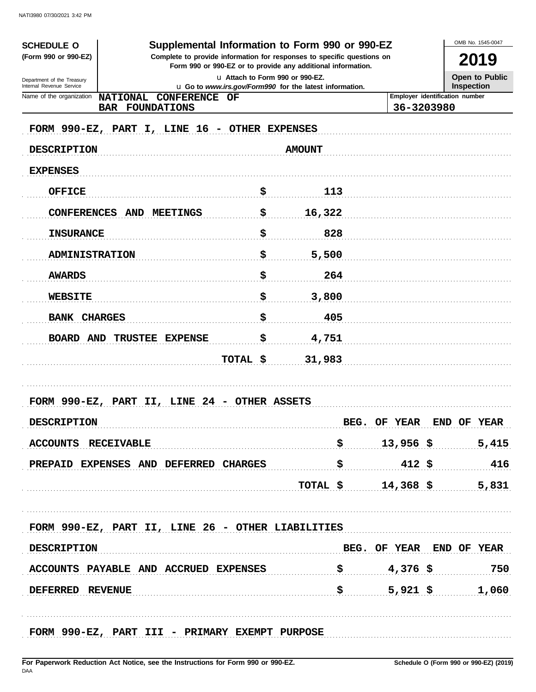| Supplemental Information to Form 990 or 990-EZ<br><b>SCHEDULE O</b>                                                                                            |                                                                                             |                |                                                                 |                          |                                              | OMB No. 1545-0047                   |  |
|----------------------------------------------------------------------------------------------------------------------------------------------------------------|---------------------------------------------------------------------------------------------|----------------|-----------------------------------------------------------------|--------------------------|----------------------------------------------|-------------------------------------|--|
| (Form 990 or 990-EZ)<br>Complete to provide information for responses to specific questions on<br>Form 990 or 990-EZ or to provide any additional information. |                                                                                             |                |                                                                 |                          |                                              | 2019                                |  |
| Department of the Treasury<br>Internal Revenue Service                                                                                                         | La Attach to Form 990 or 990-EZ.<br>u Go to www.irs.gov/Form990 for the latest information. |                |                                                                 |                          |                                              | <b>Open to Public</b><br>Inspection |  |
| Name of the organization                                                                                                                                       | <b>NATIONAL</b><br><b>CONFERENCE OF</b>                                                     |                |                                                                 |                          | Employer identification number<br>36-3203980 |                                     |  |
|                                                                                                                                                                | <b>BAR FOUNDATIONS</b>                                                                      |                |                                                                 |                          |                                              |                                     |  |
|                                                                                                                                                                | FORM 990-EZ, PART I, LINE 16 - OTHER EXPENSES                                               |                |                                                                 |                          |                                              |                                     |  |
| <b>DESCRIPTION</b>                                                                                                                                             |                                                                                             |                | <b>AMOUNT</b>                                                   |                          |                                              |                                     |  |
| <b>EXPENSES</b>                                                                                                                                                |                                                                                             |                |                                                                 |                          |                                              |                                     |  |
| <b>OFFICE</b>                                                                                                                                                  |                                                                                             | \$             | 113                                                             |                          |                                              |                                     |  |
| <b>CONFERENCES</b>                                                                                                                                             | <b>AND MEETINGS</b>                                                                         | \$             | 16,322                                                          |                          |                                              |                                     |  |
| <b>INSURANCE</b>                                                                                                                                               |                                                                                             | \$             | 828                                                             |                          |                                              |                                     |  |
| <b>ADMINISTRATION</b>                                                                                                                                          |                                                                                             | \$             | 5,500                                                           |                          |                                              |                                     |  |
| <b>AWARDS</b>                                                                                                                                                  |                                                                                             | \$             | 264                                                             |                          |                                              |                                     |  |
| <b>WEBSITE</b>                                                                                                                                                 |                                                                                             | \$             | 3,800                                                           |                          |                                              |                                     |  |
| <b>BANK</b>                                                                                                                                                    | <b>CHARGES</b>                                                                              | \$             | 405                                                             |                          |                                              |                                     |  |
| BOARD AND                                                                                                                                                      | TRUSTEE EXPENSE                                                                             | \$             | 4,751                                                           |                          |                                              |                                     |  |
|                                                                                                                                                                |                                                                                             | TOTAL \$       | 31,983                                                          |                          |                                              |                                     |  |
|                                                                                                                                                                |                                                                                             |                |                                                                 |                          |                                              |                                     |  |
| FORM 990-EZ, PART                                                                                                                                              | II, LINE 24                                                                                 | - OTHER ASSETS |                                                                 |                          |                                              |                                     |  |
| <b>DESCRIPTION</b>                                                                                                                                             |                                                                                             |                | BEG.                                                            | OF YEAR                  |                                              | END OF YEAR                         |  |
| ACCOUNTS RECEIVABLE                                                                                                                                            |                                                                                             |                | \$.                                                             | $13,956$ \$              |                                              | 5,415                               |  |
|                                                                                                                                                                | PREPAID EXPENSES AND DEFERRED CHARGES                                                       |                | $\ddot{\mathbf{s}}$                                             | $412$ \$                 |                                              | 416                                 |  |
|                                                                                                                                                                |                                                                                             |                | TOTAL $$$ 14,368 \$ 5,831                                       |                          |                                              |                                     |  |
|                                                                                                                                                                |                                                                                             |                |                                                                 |                          |                                              |                                     |  |
|                                                                                                                                                                | FORM 990-EZ, PART II, LINE 26 - OTHER LIABILITIES                                           |                |                                                                 |                          |                                              |                                     |  |
| <b>DESCRIPTION</b>                                                                                                                                             |                                                                                             |                |                                                                 | BEG. OF YEAR END OF YEAR |                                              |                                     |  |
|                                                                                                                                                                | ACCOUNTS PAYABLE AND ACCRUED EXPENSES                                                       |                | $\frac{1}{5}$ 4,376 \$                                          |                          |                                              | 750                                 |  |
| DEFERRED REVENUE                                                                                                                                               |                                                                                             |                | $\boldsymbol{\mathsf{S}}$ , the state $\boldsymbol{\mathsf{S}}$ |                          |                                              | $5,921$ \$ 1,060                    |  |
|                                                                                                                                                                |                                                                                             |                |                                                                 |                          |                                              |                                     |  |
|                                                                                                                                                                | FORM 990-EZ, PART III - PRIMARY EXEMPT PURPOSE                                              |                |                                                                 |                          |                                              |                                     |  |
|                                                                                                                                                                |                                                                                             |                |                                                                 |                          |                                              |                                     |  |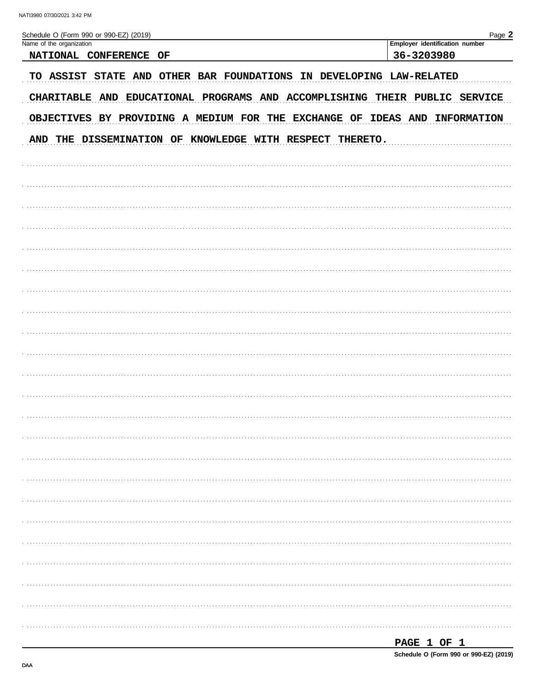| $\sim$ |  |
|--------|--|

| Schedule O (Form 990 or 990-EZ) (2019)<br>Name of the organization         | Page 2<br>Employer identification number |
|----------------------------------------------------------------------------|------------------------------------------|
| NATIONAL CONFERENCE OF                                                     | 36-3203980                               |
| TO ASSIST STATE AND OTHER BAR FOUNDATIONS IN DEVELOPING LAW-RELATED        |                                          |
| CHARITABLE AND EDUCATIONAL PROGRAMS AND ACCOMPLISHING THEIR PUBLIC SERVICE |                                          |
| OBJECTIVES BY PROVIDING A MEDIUM FOR THE EXCHANGE OF IDEAS AND INFORMATION |                                          |
| AND THE DISSEMINATION OF KNOWLEDGE WITH RESPECT THERETO.                   |                                          |
|                                                                            |                                          |
|                                                                            |                                          |
|                                                                            |                                          |
|                                                                            |                                          |
|                                                                            |                                          |
|                                                                            |                                          |
|                                                                            |                                          |
|                                                                            |                                          |
|                                                                            |                                          |
|                                                                            |                                          |
|                                                                            |                                          |
|                                                                            |                                          |
|                                                                            |                                          |
|                                                                            |                                          |
|                                                                            |                                          |
|                                                                            |                                          |
|                                                                            |                                          |
|                                                                            |                                          |
|                                                                            |                                          |
|                                                                            |                                          |
|                                                                            |                                          |
|                                                                            |                                          |
|                                                                            |                                          |
|                                                                            |                                          |
|                                                                            |                                          |

| <br>--<br>______ |  |  |
|------------------|--|--|
|                  |  |  |